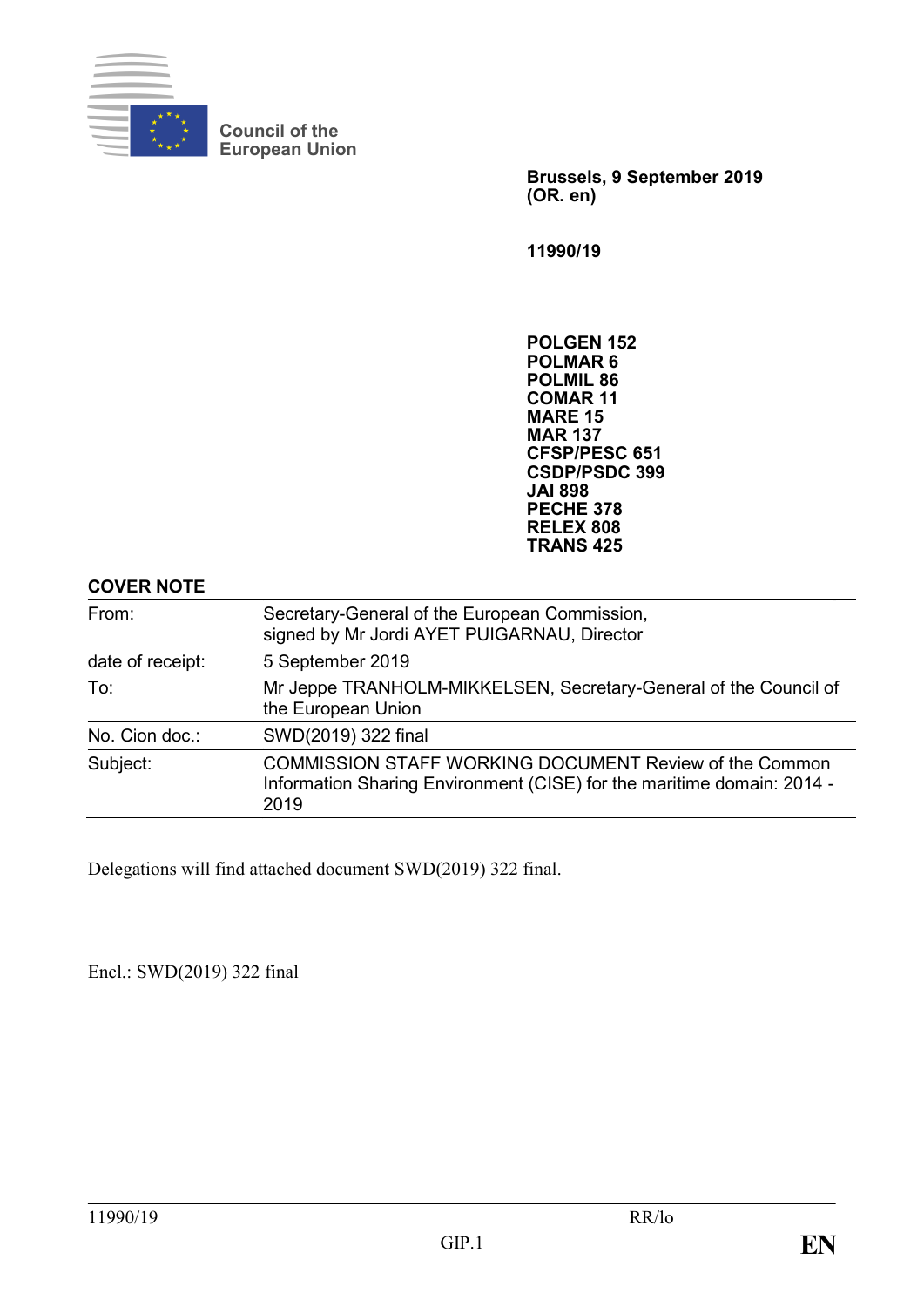

**Council of the European Union**

> **Brussels, 9 September 2019 (OR. en)**

**11990/19**

**POLGEN 152 POLMAR 6 POLMIL 86 COMAR 11 MARE 15 MAR 137 CFSP/PESC 651 CSDP/PSDC 399 JAI 898 PECHE 378 RELEX 808 TRANS 425**

#### **COVER NOTE**

| From:            | Secretary-General of the European Commission,<br>signed by Mr Jordi AYET PUIGARNAU, Director<br>5 September 2019                                |  |  |
|------------------|-------------------------------------------------------------------------------------------------------------------------------------------------|--|--|
| date of receipt: |                                                                                                                                                 |  |  |
| To:              | Mr Jeppe TRANHOLM-MIKKELSEN, Secretary-General of the Council of<br>the European Union                                                          |  |  |
| No. Cion doc.:   | SWD(2019) 322 final                                                                                                                             |  |  |
| Subject:         | <b>COMMISSION STAFF WORKING DOCUMENT Review of the Common</b><br>Information Sharing Environment (CISE) for the maritime domain: 2014 -<br>2019 |  |  |

Delegations will find attached document SWD(2019) 322 final.

Encl.: SWD(2019) 322 final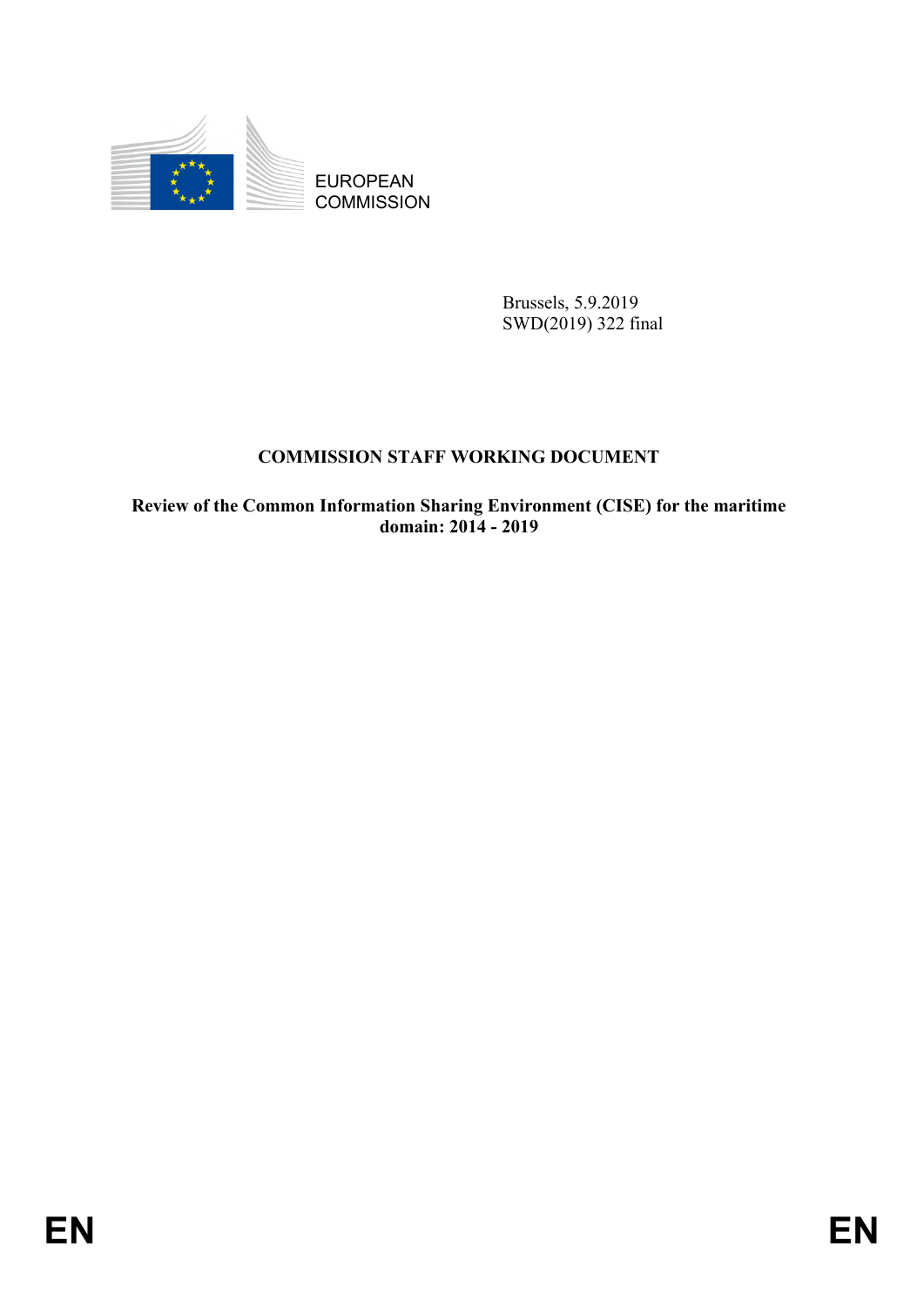

**COMMISSION** 

Brussels, 5.9.2019 SWD(2019) 322 final

## **COMMISSION STAFF WORKING DOCUMENT**

EUROPEAN<br>
EUROPEAN<br>
ENGINEEREN<br>
FRANCESION<br>
SWA(2019) 522 final<br>
COMMISSION STAFF WORKING DOCUMENT<br>
Review of the Common Information Sharing European<br>
domain: 2014 - 2019<br>
EN **Review of the Common Information Sharing Environment (CISE) for the maritime domain: 2014 - 2019**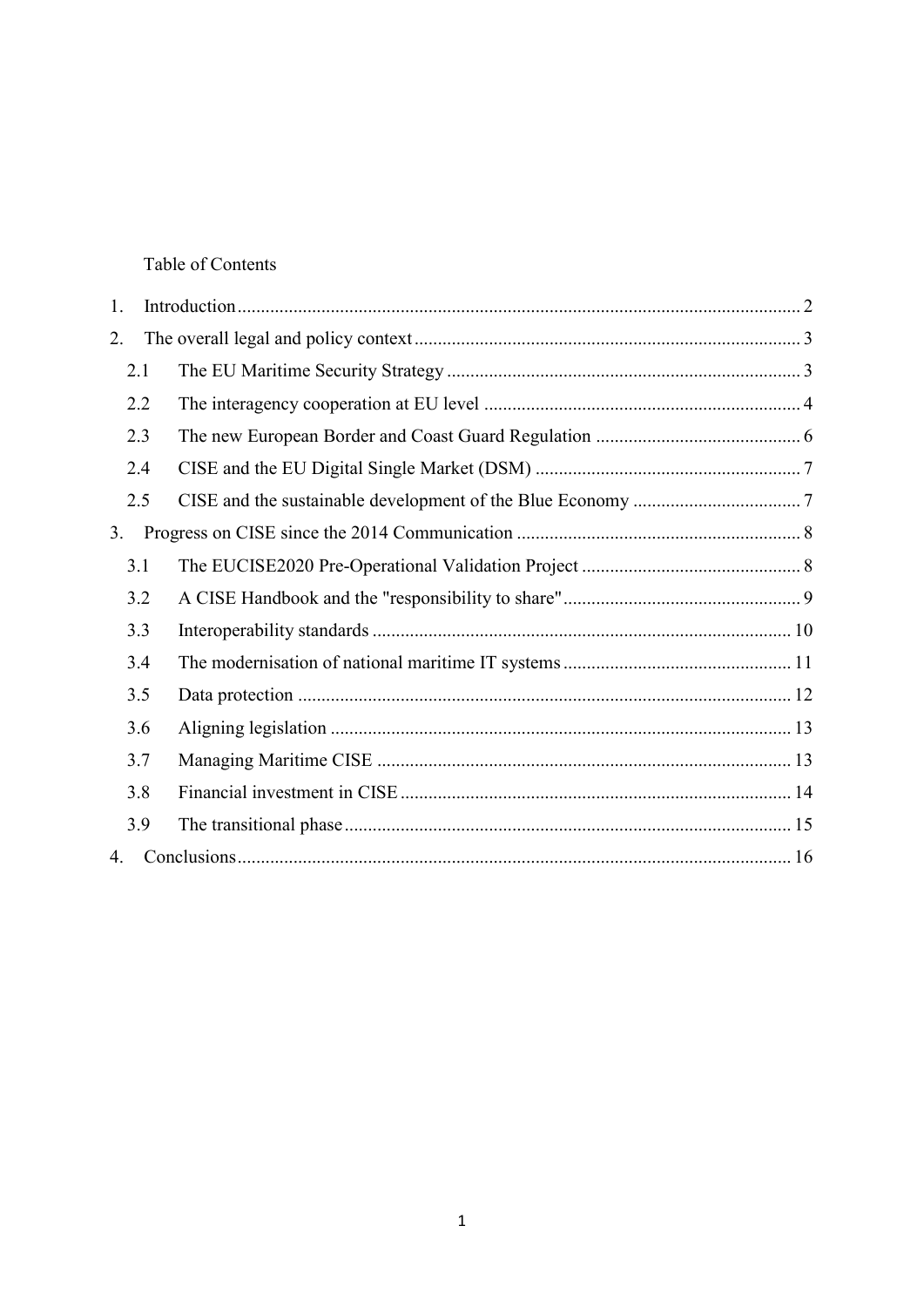Table of Contents

| 1.             |     |  |  |  |
|----------------|-----|--|--|--|
| 2.             |     |  |  |  |
|                | 2.1 |  |  |  |
|                | 2.2 |  |  |  |
|                | 2.3 |  |  |  |
|                | 2.4 |  |  |  |
|                | 2.5 |  |  |  |
| 3 <sub>1</sub> |     |  |  |  |
|                | 3.1 |  |  |  |
|                | 3.2 |  |  |  |
|                | 3.3 |  |  |  |
|                | 3.4 |  |  |  |
|                | 3.5 |  |  |  |
|                | 3.6 |  |  |  |
|                | 3.7 |  |  |  |
|                | 3.8 |  |  |  |
|                | 3.9 |  |  |  |
| 4.             |     |  |  |  |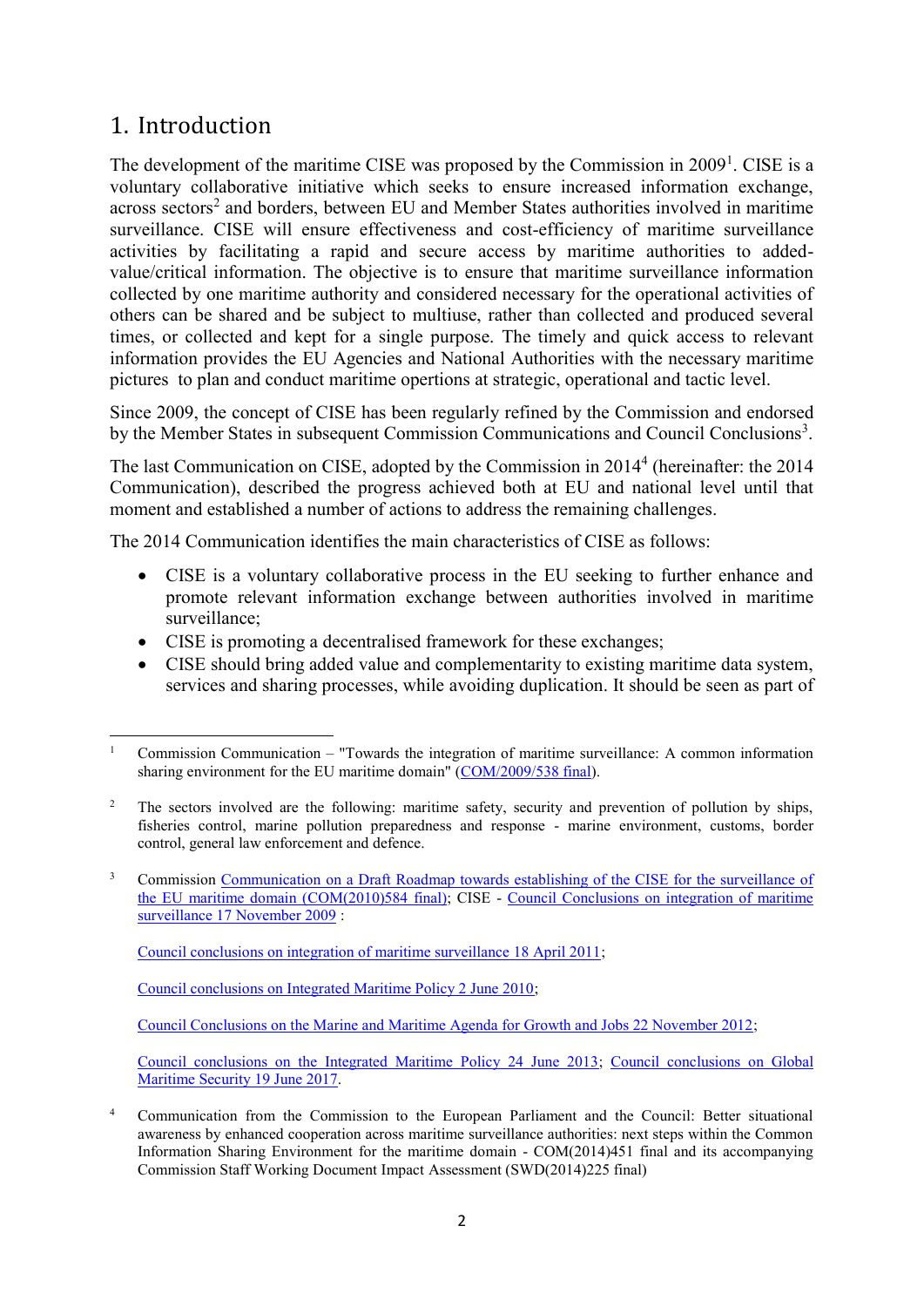# <span id="page-3-0"></span>1. Introduction

**.** 

The development of the maritime CISE was proposed by the Commission in  $2009<sup>1</sup>$ . CISE is a voluntary collaborative initiative which seeks to ensure increased information exchange, across sectors<sup>2</sup> and borders, between EU and Member States authorities involved in maritime surveillance. CISE will ensure effectiveness and cost-efficiency of maritime surveillance activities by facilitating a rapid and secure access by maritime authorities to addedvalue/critical information. The objective is to ensure that maritime surveillance information collected by one maritime authority and considered necessary for the operational activities of others can be shared and be subject to multiuse, rather than collected and produced several times, or collected and kept for a single purpose. The timely and quick access to relevant information provides the EU Agencies and National Authorities with the necessary maritime pictures to plan and conduct maritime opertions at strategic, operational and tactic level.

Since 2009, the concept of CISE has been regularly refined by the Commission and endorsed by the Member States in subsequent Commission Communications and Council Conclusions<sup>3</sup>.

The last Communication on CISE, adopted by the Commission in 2014<sup>4</sup> (hereinafter: the 2014 Communication), described the progress achieved both at EU and national level until that moment and established a number of actions to address the remaining challenges.

The 2014 Communication identifies the main characteristics of CISE as follows:

- CISE is a voluntary collaborative process in the EU seeking to further enhance and promote relevant information exchange between authorities involved in maritime surveillance;
- CISE is promoting a decentralised framework for these exchanges;
- CISE should bring added value and complementarity to existing maritime data system, services and sharing processes, while avoiding duplication. It should be seen as part of

[Council conclusions on integration of maritime surveillance 18 April 2011;](http://data.consilium.europa.eu/doc/document/ST-9250-2011-INIT/en/pdf)

[Council conclusions on Integrated Maritime Policy 2 June 2010;](http://data.consilium.europa.eu/doc/document/ST-10300-2010-INIT/en/pdf)

[Council Conclusions on the Marine and Maritime Agenda for Growth and Jobs 22 November 2012;](http://data.consilium.europa.eu/doc/document/ST-16553-2012-INIT/en/pdf)

[Council conclusions on the Integrated Maritime Policy 24 June 2013;](http://www.consilium.europa.eu/uedocs/cms_data/docs/pressdata/en/agricult/137604.pdf) [Council conclusions on Global](https://www.consilium.europa.eu/media/24000/st10238en17-conclusions-on-global-maritime-security.pdf)  [Maritime Security 19 June 2017.](https://www.consilium.europa.eu/media/24000/st10238en17-conclusions-on-global-maritime-security.pdf)

<sup>4</sup> Communication from the Commission to the European Parliament and the Council: Better situational awareness by enhanced cooperation across maritime surveillance authorities: next steps within the Common Information Sharing Environment for the maritime domain - COM(2014)451 final and its accompanying Commission Staff Working Document Impact Assessment (SWD(2014)225 final)

<sup>1</sup> Commission Communication – "Towards the integration of maritime surveillance: A common information sharing environment for the EU maritime domain" [\(COM/2009/538 final\)](https://eur-lex.europa.eu/legal-content/en/TXT/?uri=CELEX:52009DC0538).

<sup>&</sup>lt;sup>2</sup> The sectors involved are the following: maritime safety, security and prevention of pollution by ships, fisheries control, marine pollution preparedness and response - marine environment, customs, border control, general law enforcement and defence.

<sup>&</sup>lt;sup>3</sup> Commission Communication on a Draft Roadmap towards establishing of the CISE for the surveillance of [the EU maritime domain \(COM\(2010\)584 final\);](http://eur-lex.europa.eu/LexUriServ/LexUriServ.do?uri=CELEX:52010DC0584:EN:NOT) CISE - [Council Conclusions on integration of maritime](http://data.consilium.europa.eu/doc/document/ST-15176-2009-REV-2/en/pdf)  [surveillance 17 November 2009](http://data.consilium.europa.eu/doc/document/ST-15176-2009-REV-2/en/pdf) :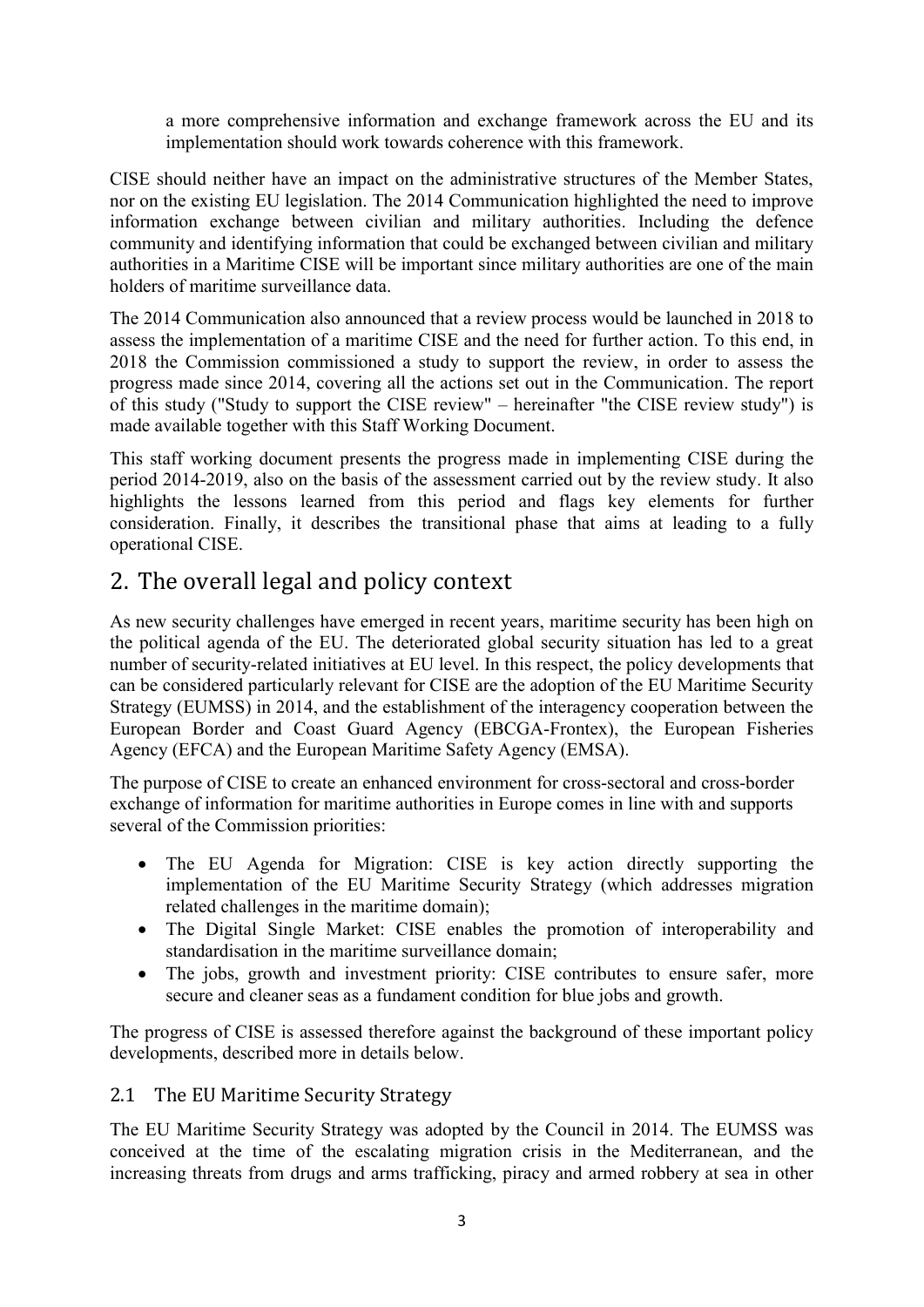a more comprehensive information and exchange framework across the EU and its implementation should work towards coherence with this framework.

CISE should neither have an impact on the administrative structures of the Member States, nor on the existing EU legislation. The 2014 Communication highlighted the need to improve information exchange between civilian and military authorities. Including the defence community and identifying information that could be exchanged between civilian and military authorities in a Maritime CISE will be important since military authorities are one of the main holders of maritime surveillance data.

The 2014 Communication also announced that a review process would be launched in 2018 to assess the implementation of a maritime CISE and the need for further action. To this end, in 2018 the Commission commissioned a study to support the review, in order to assess the progress made since 2014, covering all the actions set out in the Communication. The report of this study ("Study to support the CISE review" – hereinafter "the CISE review study") is made available together with this Staff Working Document.

This staff working document presents the progress made in implementing CISE during the period 2014-2019, also on the basis of the assessment carried out by the review study. It also highlights the lessons learned from this period and flags key elements for further consideration. Finally, it describes the transitional phase that aims at leading to a fully operational CISE.

# <span id="page-4-0"></span>2. The overall legal and policy context

As new security challenges have emerged in recent years, maritime security has been high on the political agenda of the EU. The deteriorated global security situation has led to a great number of security-related initiatives at EU level. In this respect, the policy developments that can be considered particularly relevant for CISE are the adoption of the EU Maritime Security Strategy (EUMSS) in 2014, and the establishment of the interagency cooperation between the European Border and Coast Guard Agency (EBCGA-Frontex), the European Fisheries Agency (EFCA) and the European Maritime Safety Agency (EMSA).

The purpose of CISE to create an enhanced environment for cross-sectoral and cross-border exchange of information for maritime authorities in Europe comes in line with and supports several of the Commission priorities:

- The EU Agenda for Migration: CISE is key action directly supporting the implementation of the EU Maritime Security Strategy (which addresses migration related challenges in the maritime domain);
- The Digital Single Market: CISE enables the promotion of interoperability and standardisation in the maritime surveillance domain;
- The jobs, growth and investment priority: CISE contributes to ensure safer, more secure and cleaner seas as a fundament condition for blue jobs and growth.

The progress of CISE is assessed therefore against the background of these important policy developments, described more in details below.

## <span id="page-4-1"></span>2.1 The EU Maritime Security Strategy

The EU Maritime Security Strategy was adopted by the Council in 2014. The EUMSS was conceived at the time of the escalating migration crisis in the Mediterranean, and the increasing threats from drugs and arms trafficking, piracy and armed robbery at sea in other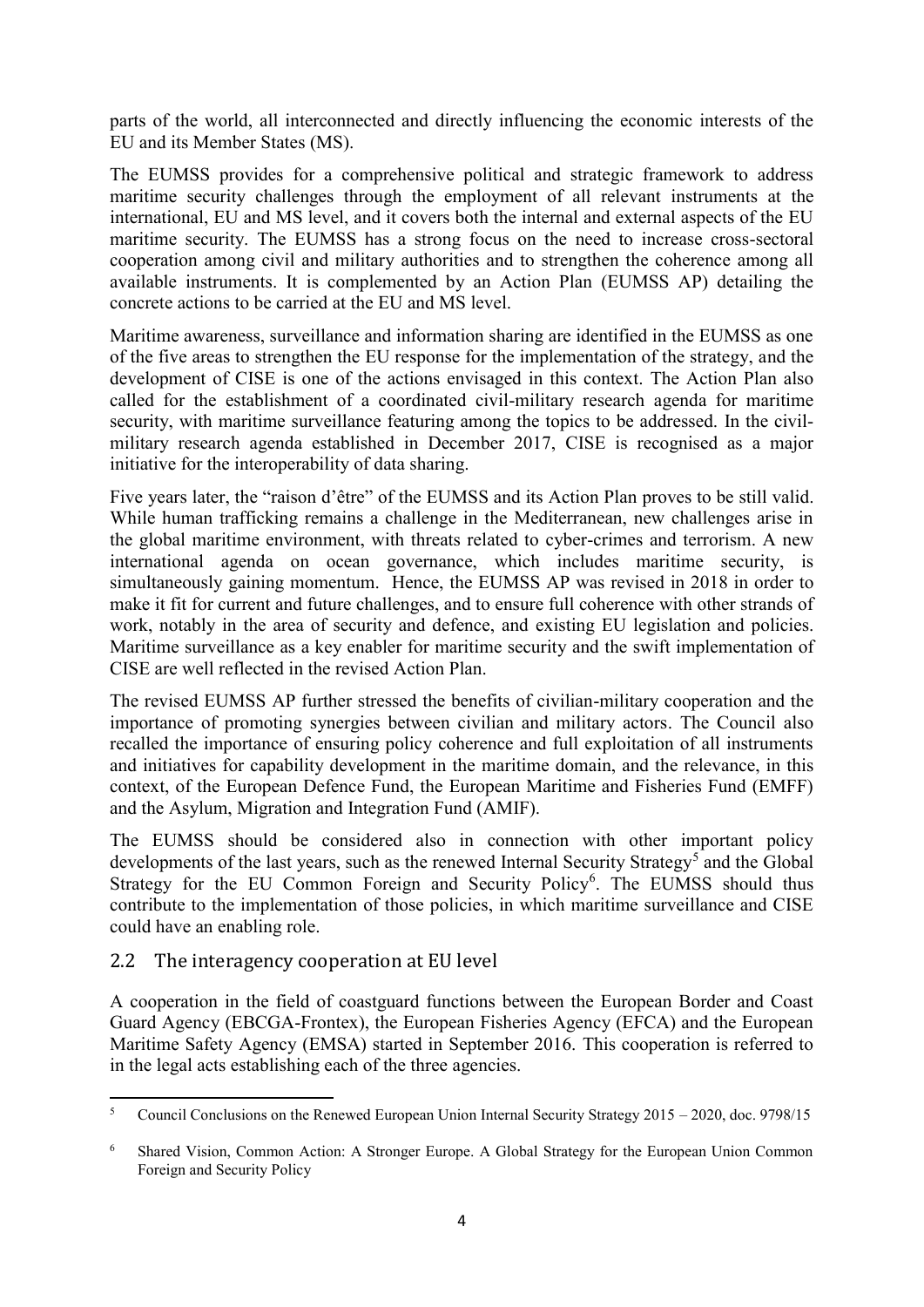parts of the world, all interconnected and directly influencing the economic interests of the EU and its Member States (MS).

The EUMSS provides for a comprehensive political and strategic framework to address maritime security challenges through the employment of all relevant instruments at the international, EU and MS level, and it covers both the internal and external aspects of the EU maritime security. The EUMSS has a strong focus on the need to increase cross-sectoral cooperation among civil and military authorities and to strengthen the coherence among all available instruments. It is complemented by an Action Plan (EUMSS AP) detailing the concrete actions to be carried at the EU and MS level.

Maritime awareness, surveillance and information sharing are identified in the EUMSS as one of the five areas to strengthen the EU response for the implementation of the strategy, and the development of CISE is one of the actions envisaged in this context. The Action Plan also called for the establishment of a coordinated civil-military research agenda for maritime security, with maritime surveillance featuring among the topics to be addressed. In the civilmilitary research agenda established in December 2017, CISE is recognised as a major initiative for the interoperability of data sharing.

Five years later, the "raison d'être" of the EUMSS and its Action Plan proves to be still valid. While human trafficking remains a challenge in the Mediterranean, new challenges arise in the global maritime environment, with threats related to cyber-crimes and terrorism. A new international agenda on ocean governance, which includes maritime security, is simultaneously gaining momentum. Hence, the EUMSS AP was revised in 2018 in order to make it fit for current and future challenges, and to ensure full coherence with other strands of work, notably in the area of security and defence, and existing EU legislation and policies. Maritime surveillance as a key enabler for maritime security and the swift implementation of CISE are well reflected in the revised Action Plan.

The revised EUMSS AP further stressed the benefits of civilian-military cooperation and the importance of promoting synergies between civilian and military actors. The Council also recalled the importance of ensuring policy coherence and full exploitation of all instruments and initiatives for capability development in the maritime domain, and the relevance, in this context, of the European Defence Fund, the European Maritime and Fisheries Fund (EMFF) and the Asylum, Migration and Integration Fund (AMIF).

The EUMSS should be considered also in connection with other important policy developments of the last years, such as the renewed Internal Security Strategy<sup>5</sup> and the Global Strategy for the EU Common Foreign and Security Policy<sup>6</sup>. The EUMSS should thus contribute to the implementation of those policies, in which maritime surveillance and CISE could have an enabling role.

## <span id="page-5-0"></span>2.2 The interagency cooperation at EU level

A cooperation in the field of coastguard functions between the European Border and Coast Guard Agency (EBCGA-Frontex), the European Fisheries Agency (EFCA) and the European Maritime Safety Agency (EMSA) started in September 2016. This cooperation is referred to in the legal acts establishing each of the three agencies.

 $\overline{5}$ <sup>5</sup> Council Conclusions on the Renewed European Union Internal Security Strategy 2015 – 2020, doc. 9798/15

<sup>6</sup> Shared Vision, Common Action: A Stronger Europe. A Global Strategy for the European Union Common Foreign and Security Policy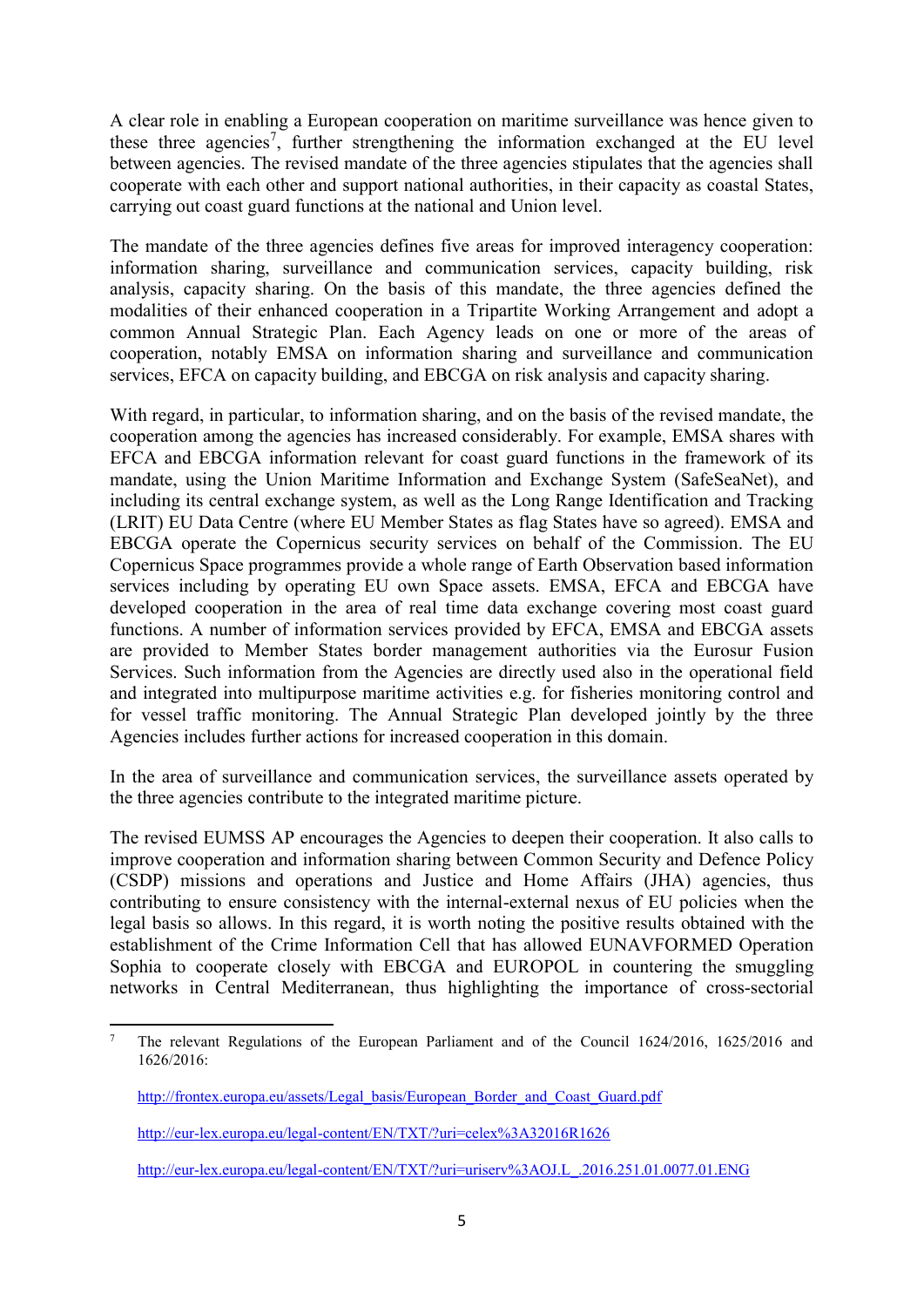A clear role in enabling a European cooperation on maritime surveillance was hence given to these three agencies<sup>7</sup>, further strengthening the information exchanged at the EU level between agencies. The revised mandate of the three agencies stipulates that the agencies shall cooperate with each other and support national authorities, in their capacity as coastal States, carrying out coast guard functions at the national and Union level.

The mandate of the three agencies defines five areas for improved interagency cooperation: information sharing, surveillance and communication services, capacity building, risk analysis, capacity sharing. On the basis of this mandate, the three agencies defined the modalities of their enhanced cooperation in a Tripartite Working Arrangement and adopt a common Annual Strategic Plan. Each Agency leads on one or more of the areas of cooperation, notably EMSA on information sharing and surveillance and communication services, EFCA on capacity building, and EBCGA on risk analysis and capacity sharing.

With regard, in particular, to information sharing, and on the basis of the revised mandate, the cooperation among the agencies has increased considerably. For example, EMSA shares with EFCA and EBCGA information relevant for coast guard functions in the framework of its mandate, using the Union Maritime Information and Exchange System (SafeSeaNet), and including its central exchange system, as well as the Long Range Identification and Tracking (LRIT) EU Data Centre (where EU Member States as flag States have so agreed). EMSA and EBCGA operate the Copernicus security services on behalf of the Commission. The EU Copernicus Space programmes provide a whole range of Earth Observation based information services including by operating EU own Space assets. EMSA, EFCA and EBCGA have developed cooperation in the area of real time data exchange covering most coast guard functions. A number of information services provided by EFCA, EMSA and EBCGA assets are provided to Member States border management authorities via the Eurosur Fusion Services. Such information from the Agencies are directly used also in the operational field and integrated into multipurpose maritime activities e.g. for fisheries monitoring control and for vessel traffic monitoring. The Annual Strategic Plan developed jointly by the three Agencies includes further actions for increased cooperation in this domain.

In the area of surveillance and communication services, the surveillance assets operated by the three agencies contribute to the integrated maritime picture.

The revised EUMSS AP encourages the Agencies to deepen their cooperation. It also calls to improve cooperation and information sharing between Common Security and Defence Policy (CSDP) missions and operations and Justice and Home Affairs (JHA) agencies, thus contributing to ensure consistency with the internal-external nexus of EU policies when the legal basis so allows. In this regard, it is worth noting the positive results obtained with the establishment of the Crime Information Cell that has allowed EUNAVFORMED Operation Sophia to cooperate closely with EBCGA and EUROPOL in countering the smuggling networks in Central Mediterranean, thus highlighting the importance of cross-sectorial

[http://eur-lex.europa.eu/legal-content/EN/TXT/?uri=uriserv%3AOJ.L\\_.2016.251.01.0077.01.ENG](http://eur-lex.europa.eu/legal-content/EN/TXT/?uri=uriserv%3AOJ.L_.2016.251.01.0077.01.ENG)

**<sup>.</sup>** <sup>7</sup> The relevant Regulations of the European Parliament and of the Council 1624/2016, 1625/2016 and 1626/2016:

[http://frontex.europa.eu/assets/Legal\\_basis/European\\_Border\\_and\\_Coast\\_Guard.pdf](http://frontex.europa.eu/assets/Legal_basis/European_Border_and_Coast_Guard.pdf)

<http://eur-lex.europa.eu/legal-content/EN/TXT/?uri=celex%3A32016R1626>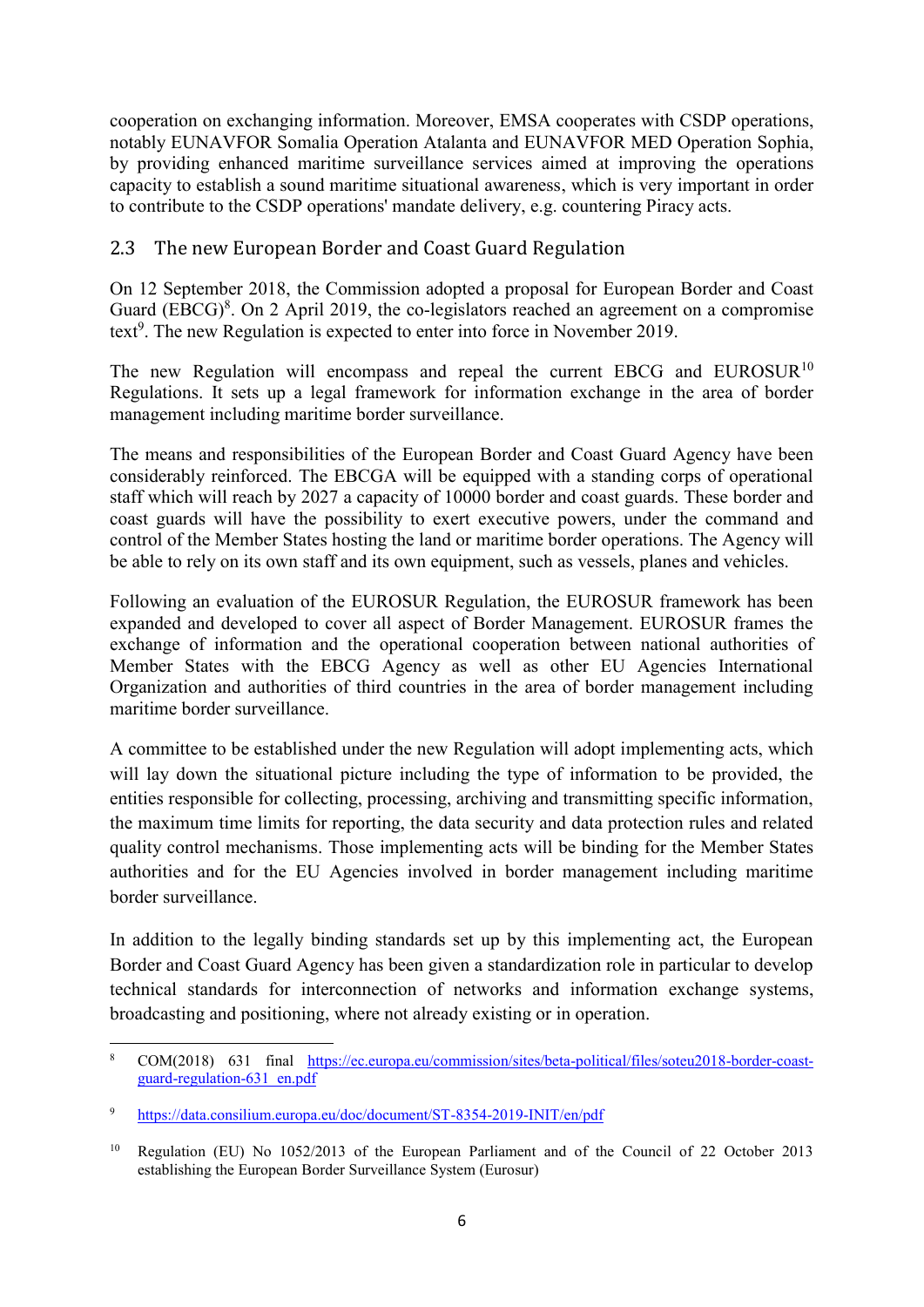cooperation on exchanging information. Moreover, EMSA cooperates with CSDP operations, notably EUNAVFOR Somalia Operation Atalanta and EUNAVFOR MED Operation Sophia, by providing enhanced maritime surveillance services aimed at improving the operations capacity to establish a sound maritime situational awareness, which is very important in order to contribute to the CSDP operations' mandate delivery, e.g. countering Piracy acts.

## <span id="page-7-0"></span>2.3 The new European Border and Coast Guard Regulation

On 12 September 2018, the Commission adopted a proposal for European Border and Coast Guard  $(EBCG)^8$ . On 2 April 2019, the co-legislators reached an agreement on a compromise text<sup>9</sup>. The new Regulation is expected to enter into force in November 2019.

The new Regulation will encompass and repeal the current EBCG and EUROSUR<sup>10</sup> Regulations. It sets up a legal framework for information exchange in the area of border management including maritime border surveillance.

The means and responsibilities of the European Border and Coast Guard Agency have been considerably reinforced. The EBCGA will be equipped with a standing corps of operational staff which will reach by 2027 a capacity of 10000 border and coast guards. These border and coast guards will have the possibility to exert executive powers, under the command and control of the Member States hosting the land or maritime border operations. The Agency will be able to rely on its own staff and its own equipment, such as vessels, planes and vehicles.

Following an evaluation of the EUROSUR Regulation, the EUROSUR framework has been expanded and developed to cover all aspect of Border Management. EUROSUR frames the exchange of information and the operational cooperation between national authorities of Member States with the EBCG Agency as well as other EU Agencies International Organization and authorities of third countries in the area of border management including maritime border surveillance.

A committee to be established under the new Regulation will adopt implementing acts, which will lay down the situational picture including the type of information to be provided, the entities responsible for collecting, processing, archiving and transmitting specific information, the maximum time limits for reporting, the data security and data protection rules and related quality control mechanisms. Those implementing acts will be binding for the Member States authorities and for the EU Agencies involved in border management including maritime border surveillance.

In addition to the legally binding standards set up by this implementing act, the European Border and Coast Guard Agency has been given a standardization role in particular to develop technical standards for interconnection of networks and information exchange systems, broadcasting and positioning, where not already existing or in operation.

**<sup>.</sup>** <sup>8</sup> COM(2018) 631 final [https://ec.europa.eu/commission/sites/beta-political/files/soteu2018-border-coast](https://ec.europa.eu/commission/sites/beta-political/files/soteu2018-border-coast-guard-regulation-631_en.pdf)[guard-regulation-631\\_en.pdf](https://ec.europa.eu/commission/sites/beta-political/files/soteu2018-border-coast-guard-regulation-631_en.pdf)

<sup>9</sup> <https://data.consilium.europa.eu/doc/document/ST-8354-2019-INIT/en/pdf>

<sup>10</sup> Regulation (EU) No 1052/2013 of the European Parliament and of the Council of 22 October 2013 establishing the European Border Surveillance System (Eurosur)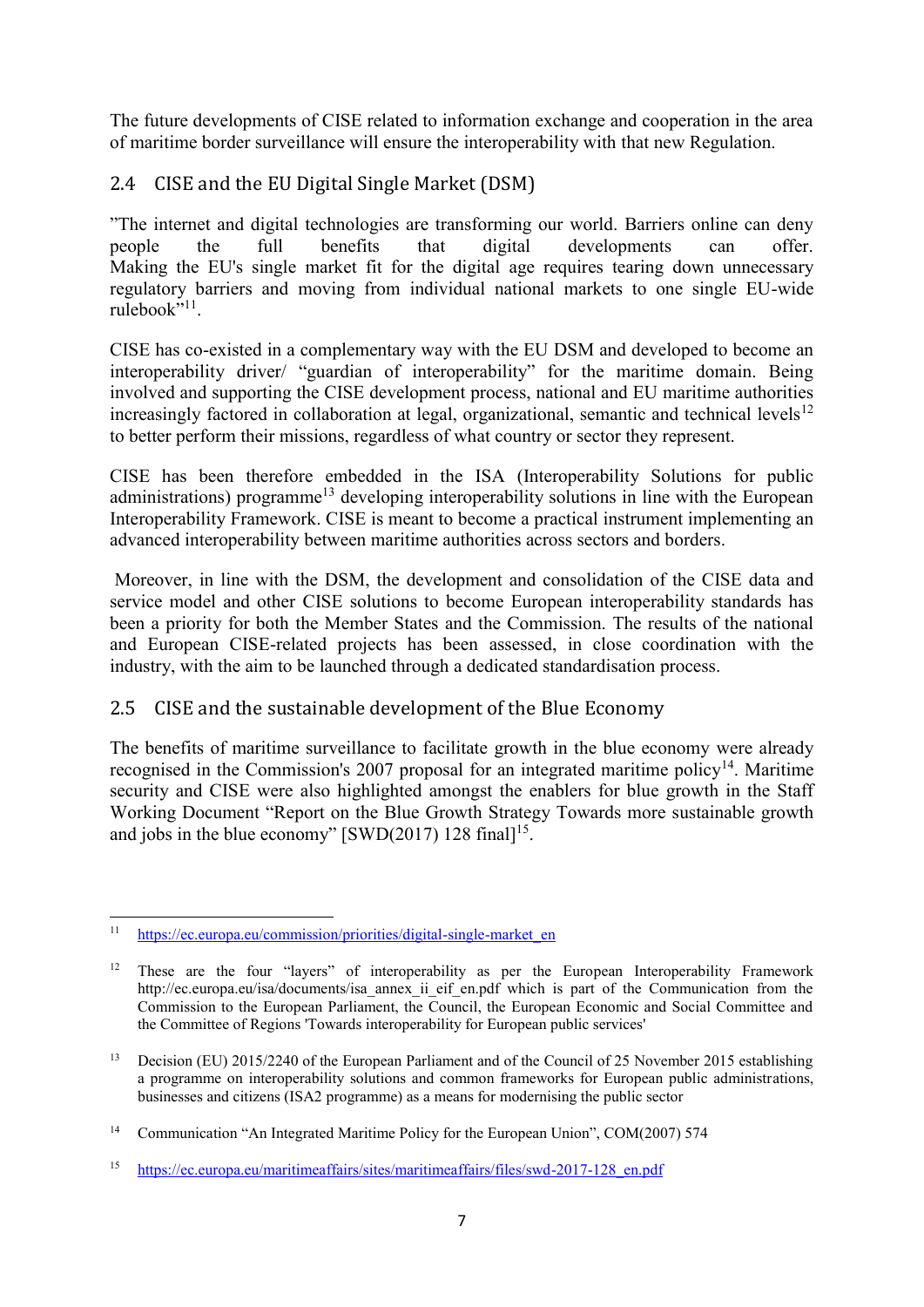The future developments of CISE related to information exchange and cooperation in the area of maritime border surveillance will ensure the interoperability with that new Regulation.

## <span id="page-8-0"></span>2.4 CISE and the EU Digital Single Market (DSM)

"The internet and digital technologies are transforming our world. Barriers online can deny people the full benefits that digital developments can offer. Making the EU's single market fit for the digital age requires tearing down unnecessary regulatory barriers and moving from individual national markets to one single EU-wide rulebook"<sup>11</sup>.

CISE has co-existed in a complementary way with the EU DSM and developed to become an interoperability driver/ "guardian of interoperability" for the maritime domain. Being involved and supporting the CISE development process, national and EU maritime authorities increasingly factored in collaboration at legal, organizational, semantic and technical levels<sup>12</sup> to better perform their missions, regardless of what country or sector they represent.

CISE has been therefore embedded in the ISA (Interoperability Solutions for public administrations) programme<sup>13</sup> developing interoperability solutions in line with the European Interoperability Framework. CISE is meant to become a practical instrument implementing an advanced interoperability between maritime authorities across sectors and borders.

Moreover, in line with the DSM, the development and consolidation of the CISE data and service model and other CISE solutions to become European interoperability standards has been a priority for both the Member States and the Commission. The results of the national and European CISE-related projects has been assessed, in close coordination with the industry, with the aim to be launched through a dedicated standardisation process.

## <span id="page-8-1"></span>2.5 CISE and the sustainable development of the Blue Economy

The benefits of maritime surveillance to facilitate growth in the blue economy were already recognised in the Commission's 2007 proposal for an integrated maritime policy<sup>14</sup>. Maritime security and CISE were also highlighted amongst the enablers for blue growth in the Staff Working Document "Report on the Blue Growth Strategy Towards more sustainable growth and jobs in the blue economy"  $\left[\text{SWD}(2017) \right]$  128 final<sup>15</sup>.

 $11$ [https://ec.europa.eu/commission/priorities/digital-single-market\\_en](https://ec.europa.eu/commission/priorities/digital-single-market_en)

<sup>&</sup>lt;sup>12</sup> These are the four "layers" of interoperability as per the European Interoperability Framework http://ec.europa.eu/isa/documents/isa\_annex\_ii\_eif\_en.pdf which is part of the Communication from the Commission to the European Parliament, the Council, the European Economic and Social Committee and the Committee of Regions 'Towards interoperability for European public services'

<sup>&</sup>lt;sup>13</sup> Decision (EU) 2015/2240 of the European Parliament and of the Council of 25 November 2015 establishing a programme on interoperability solutions and common frameworks for European public administrations, businesses and citizens (ISA2 programme) as a means for modernising the public sector

<sup>&</sup>lt;sup>14</sup> Communication "An Integrated Maritime Policy for the European Union", COM(2007) 574

<sup>15</sup> [https://ec.europa.eu/maritimeaffairs/sites/maritimeaffairs/files/swd-2017-128\\_en.pdf](https://ec.europa.eu/maritimeaffairs/sites/maritimeaffairs/files/swd-2017-128_en.pdf)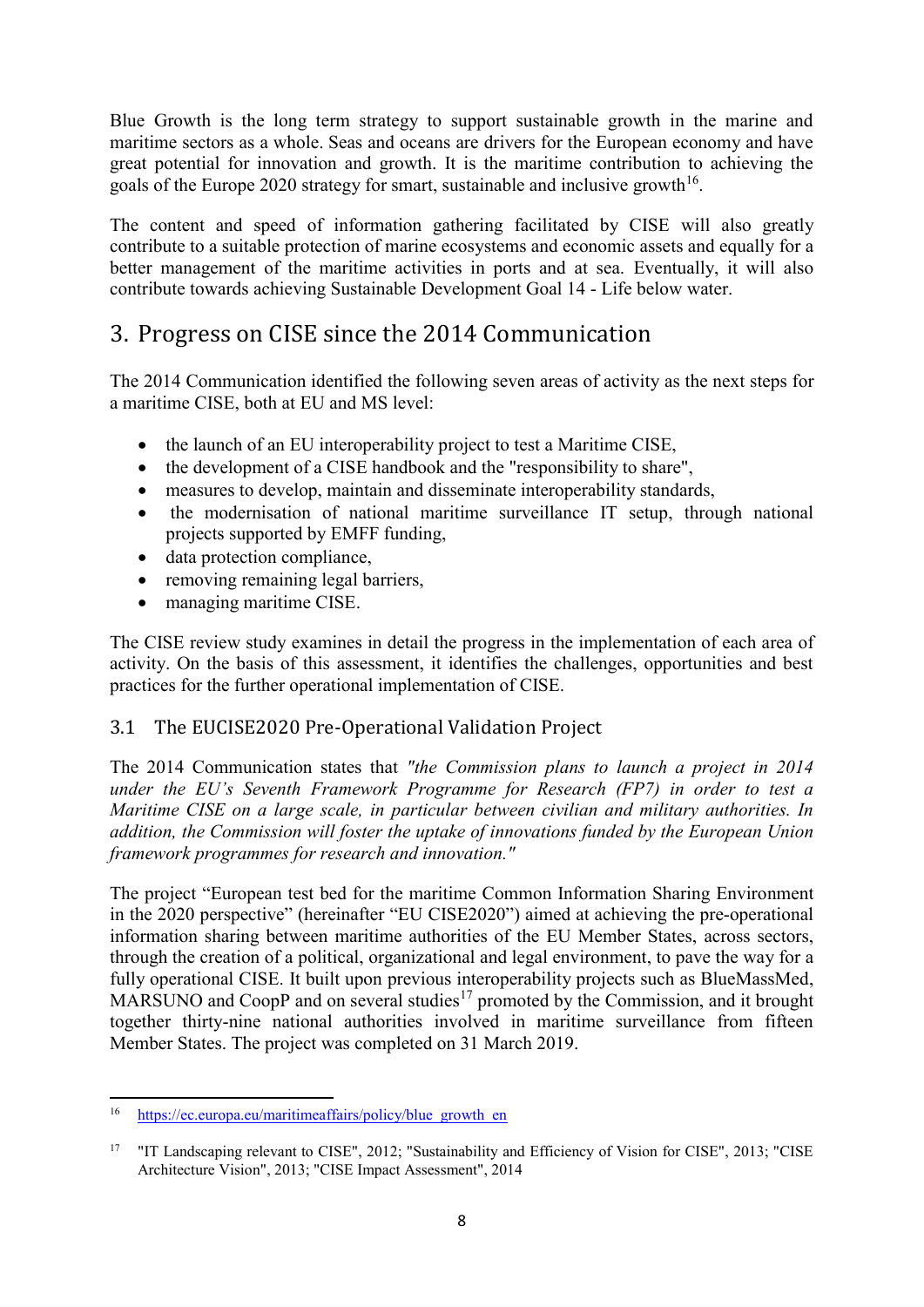Blue Growth is the long term strategy to support sustainable growth in the marine and maritime sectors as a whole. Seas and oceans are drivers for the European economy and have great potential for innovation and growth. It is the maritime contribution to achieving the goals of the Europe 2020 strategy for smart, sustainable and inclusive growth<sup>16</sup>.

The content and speed of information gathering facilitated by CISE will also greatly contribute to a suitable protection of marine ecosystems and economic assets and equally for a better management of the maritime activities in ports and at sea. Eventually, it will also contribute towards achieving Sustainable Development Goal 14 - Life below water.

# <span id="page-9-0"></span>3. Progress on CISE since the 2014 Communication

The 2014 Communication identified the following seven areas of activity as the next steps for a maritime CISE, both at EU and MS level:

- the launch of an EU interoperability project to test a Maritime CISE,
- the development of a CISE handbook and the "responsibility to share",
- measures to develop, maintain and disseminate interoperability standards,
- the modernisation of national maritime surveillance IT setup, through national projects supported by EMFF funding,
- data protection compliance,
- removing remaining legal barriers,
- managing maritime CISE.

The CISE review study examines in detail the progress in the implementation of each area of activity. On the basis of this assessment, it identifies the challenges, opportunities and best practices for the further operational implementation of CISE.

## <span id="page-9-1"></span>3.1 The EUCISE2020 Pre-Operational Validation Project

The 2014 Communication states that *"the Commission plans to launch a project in 2014 under the EU's Seventh Framework Programme for Research (FP7) in order to test a Maritime CISE on a large scale, in particular between civilian and military authorities. In addition, the Commission will foster the uptake of innovations funded by the European Union framework programmes for research and innovation."*

The project "European test bed for the maritime Common Information Sharing Environment in the 2020 perspective" (hereinafter "EU CISE2020") aimed at achieving the pre-operational information sharing between maritime authorities of the EU Member States, across sectors, through the creation of a political, organizational and legal environment, to pave the way for a fully operational CISE. It built upon previous interoperability projects such as BlueMassMed, MARSUNO and CoopP and on several studies<sup>17</sup> promoted by the Commission, and it brought together thirty-nine national authorities involved in maritime surveillance from fifteen Member States. The project was completed on 31 March 2019.

<sup>16</sup> [https://ec.europa.eu/maritimeaffairs/policy/blue\\_growth\\_en](https://ec.europa.eu/maritimeaffairs/policy/blue_growth_en)

<sup>&</sup>lt;sup>17</sup> "IT Landscaping relevant to CISE", 2012; "Sustainability and Efficiency of Vision for CISE", 2013; "CISE Architecture Vision", 2013; "CISE Impact Assessment", 2014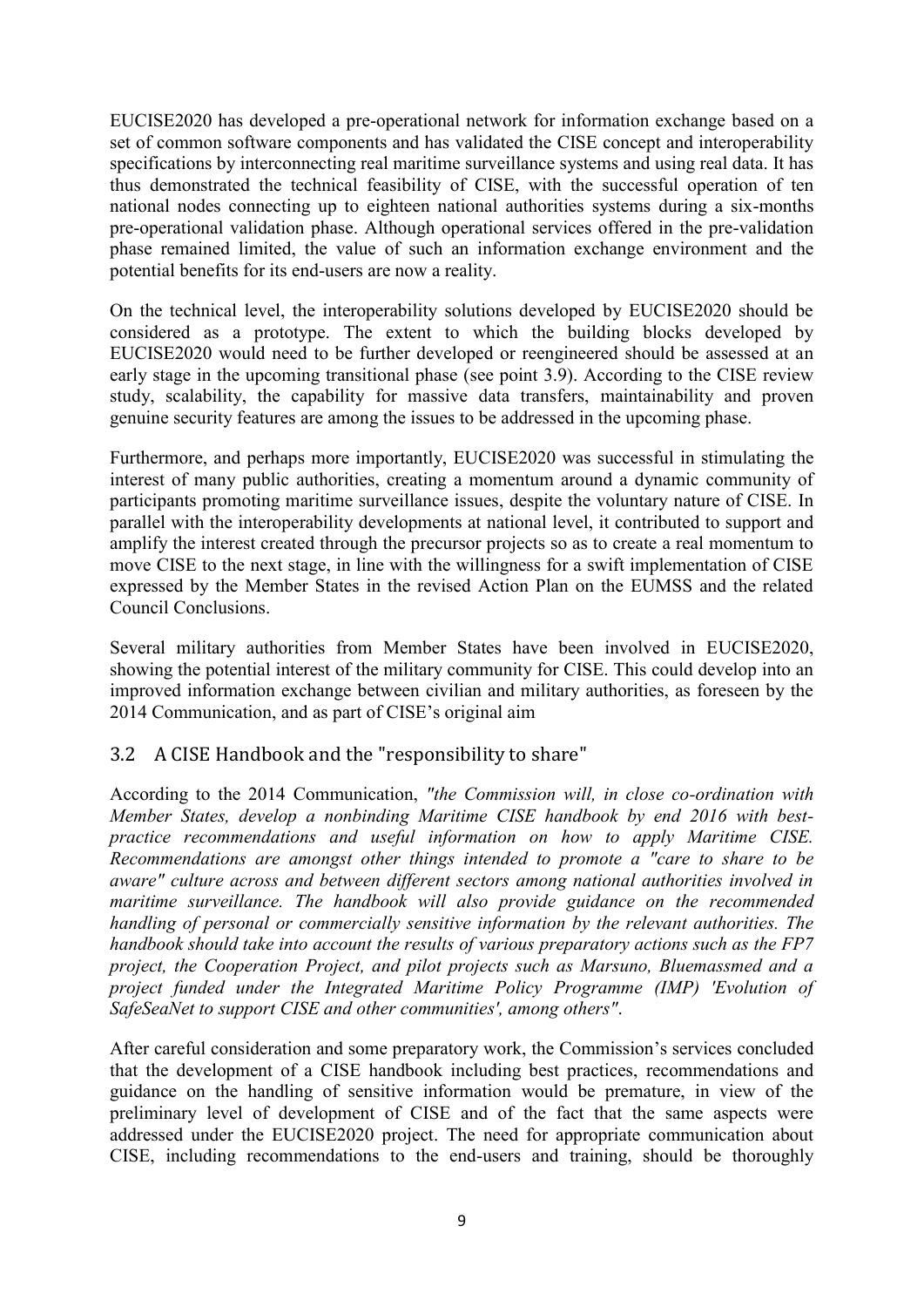EUCISE2020 has developed a pre-operational network for information exchange based on a set of common software components and has validated the CISE concept and interoperability specifications by interconnecting real maritime surveillance systems and using real data. It has thus demonstrated the technical feasibility of CISE, with the successful operation of ten national nodes connecting up to eighteen national authorities systems during a six-months pre-operational validation phase. Although operational services offered in the pre-validation phase remained limited, the value of such an information exchange environment and the potential benefits for its end-users are now a reality.

On the technical level, the interoperability solutions developed by EUCISE2020 should be considered as a prototype. The extent to which the building blocks developed by EUCISE2020 would need to be further developed or reengineered should be assessed at an early stage in the upcoming transitional phase (see point 3.9). According to the CISE review study, scalability, the capability for massive data transfers, maintainability and proven genuine security features are among the issues to be addressed in the upcoming phase.

Furthermore, and perhaps more importantly, EUCISE2020 was successful in stimulating the interest of many public authorities, creating a momentum around a dynamic community of participants promoting maritime surveillance issues, despite the voluntary nature of CISE. In parallel with the interoperability developments at national level, it contributed to support and amplify the interest created through the precursor projects so as to create a real momentum to move CISE to the next stage, in line with the willingness for a swift implementation of CISE expressed by the Member States in the revised Action Plan on the EUMSS and the related Council Conclusions.

Several military authorities from Member States have been involved in EUCISE2020, showing the potential interest of the military community for CISE. This could develop into an improved information exchange between civilian and military authorities, as foreseen by the 2014 Communication, and as part of CISE's original aim

## <span id="page-10-0"></span>3.2 A CISE Handbook and the "responsibility to share"

According to the 2014 Communication, *"the Commission will, in close co-ordination with Member States, develop a nonbinding Maritime CISE handbook by end 2016 with bestpractice recommendations and useful information on how to apply Maritime CISE. Recommendations are amongst other things intended to promote a "care to share to be aware" culture across and between different sectors among national authorities involved in maritime surveillance. The handbook will also provide guidance on the recommended handling of personal or commercially sensitive information by the relevant authorities. The handbook should take into account the results of various preparatory actions such as the FP7 project, the Cooperation Project, and pilot projects such as Marsuno, Bluemassmed and a project funded under the Integrated Maritime Policy Programme (IMP) 'Evolution of SafeSeaNet to support CISE and other communities', among others"*.

After careful consideration and some preparatory work, the Commission's services concluded that the development of a CISE handbook including best practices, recommendations and guidance on the handling of sensitive information would be premature, in view of the preliminary level of development of CISE and of the fact that the same aspects were addressed under the EUCISE2020 project. The need for appropriate communication about CISE, including recommendations to the end-users and training, should be thoroughly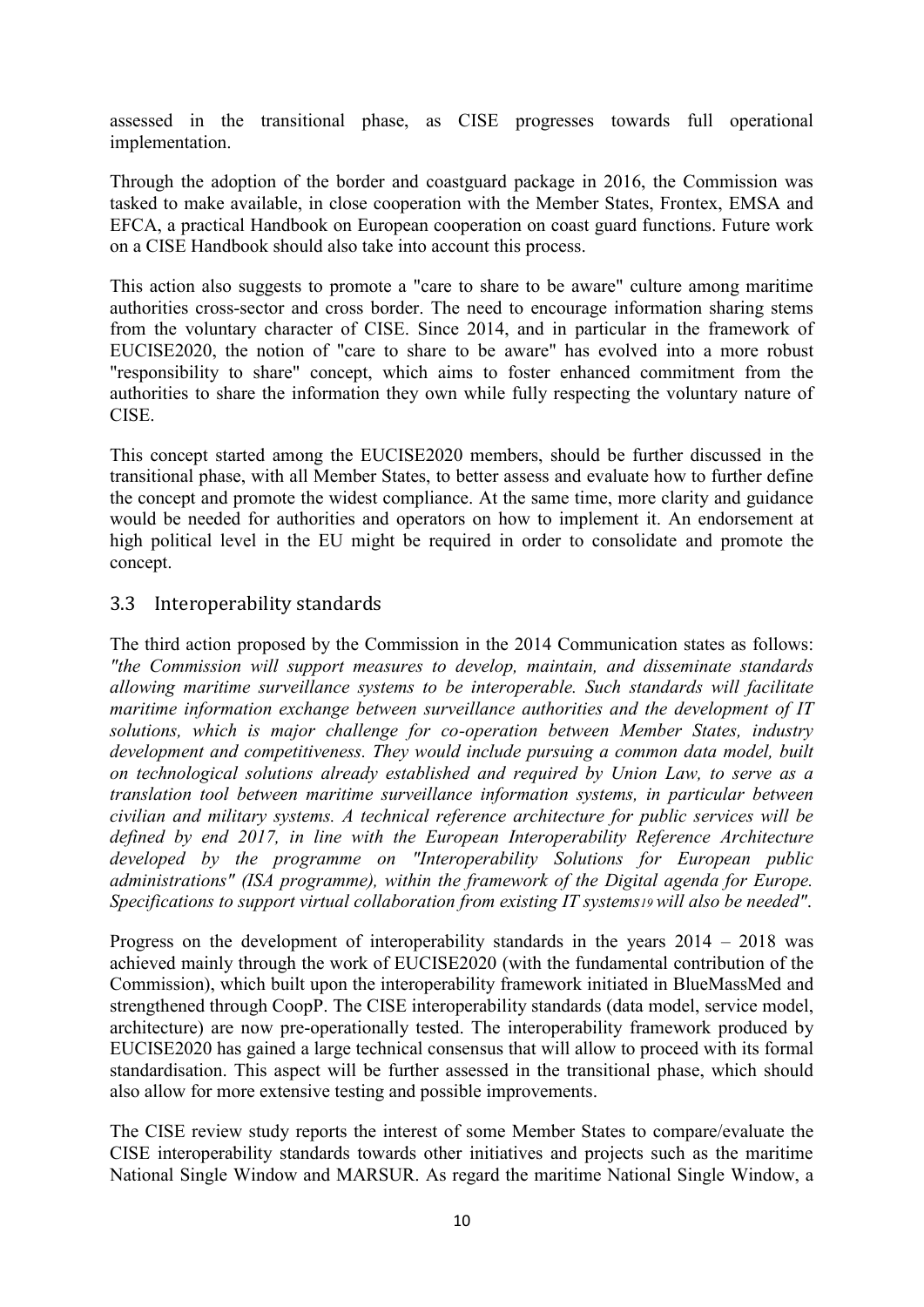assessed in the transitional phase, as CISE progresses towards full operational implementation.

Through the adoption of the border and coastguard package in 2016, the Commission was tasked to make available, in close cooperation with the Member States, Frontex, EMSA and EFCA, a practical Handbook on European cooperation on coast guard functions. Future work on a CISE Handbook should also take into account this process.

This action also suggests to promote a "care to share to be aware" culture among maritime authorities cross-sector and cross border. The need to encourage information sharing stems from the voluntary character of CISE. Since 2014, and in particular in the framework of EUCISE2020, the notion of "care to share to be aware" has evolved into a more robust "responsibility to share" concept, which aims to foster enhanced commitment from the authorities to share the information they own while fully respecting the voluntary nature of CISE.

This concept started among the EUCISE2020 members, should be further discussed in the transitional phase, with all Member States, to better assess and evaluate how to further define the concept and promote the widest compliance. At the same time, more clarity and guidance would be needed for authorities and operators on how to implement it. An endorsement at high political level in the EU might be required in order to consolidate and promote the concept.

#### <span id="page-11-0"></span>3.3 Interoperability standards

The third action proposed by the Commission in the 2014 Communication states as follows: *"the Commission will support measures to develop, maintain, and disseminate standards allowing maritime surveillance systems to be interoperable. Such standards will facilitate maritime information exchange between surveillance authorities and the development of IT solutions, which is major challenge for co-operation between Member States, industry development and competitiveness. They would include pursuing a common data model, built on technological solutions already established and required by Union Law, to serve as a translation tool between maritime surveillance information systems, in particular between civilian and military systems. A technical reference architecture for public services will be defined by end 2017, in line with the European Interoperability Reference Architecture developed by the programme on "Interoperability Solutions for European public administrations" (ISA programme), within the framework of the Digital agenda for Europe. Specifications to support virtual collaboration from existing IT systems19 will also be needed"*.

Progress on the development of interoperability standards in the years 2014 – 2018 was achieved mainly through the work of EUCISE2020 (with the fundamental contribution of the Commission), which built upon the interoperability framework initiated in BlueMassMed and strengthened through CoopP. The CISE interoperability standards (data model, service model, architecture) are now pre-operationally tested. The interoperability framework produced by EUCISE2020 has gained a large technical consensus that will allow to proceed with its formal standardisation. This aspect will be further assessed in the transitional phase, which should also allow for more extensive testing and possible improvements.

The CISE review study reports the interest of some Member States to compare/evaluate the CISE interoperability standards towards other initiatives and projects such as the maritime National Single Window and MARSUR. As regard the maritime National Single Window, a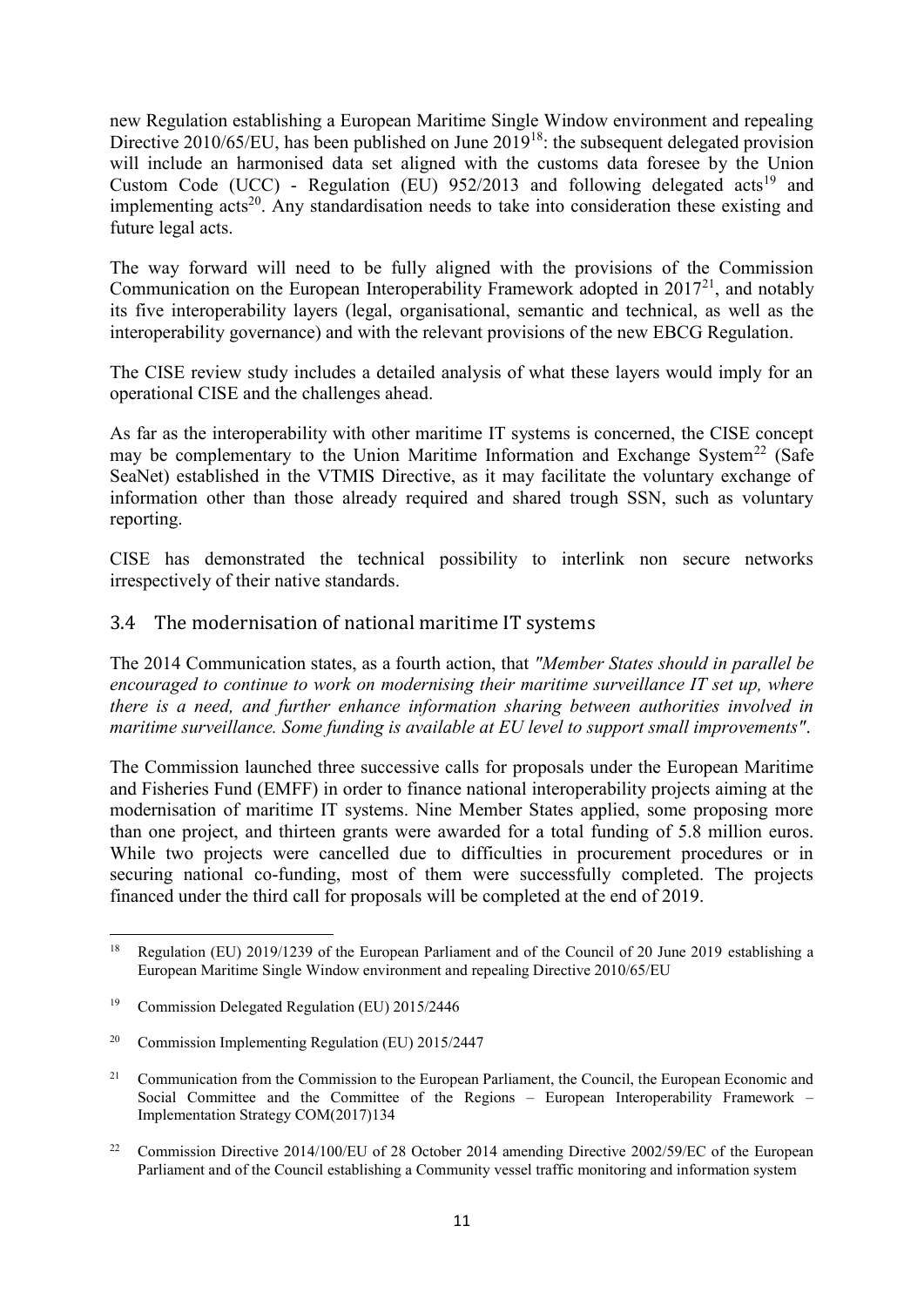new Regulation establishing a European Maritime Single Window environment and repealing Directive  $2010/65/EU$ , has been published on June  $2019^{18}$ : the subsequent delegated provision will include an harmonised data set aligned with the customs data foresee by the Union Custom Code (UCC) - Regulation (EU)  $952/2013$  and following delegated acts<sup>19</sup> and implementing acts<sup>20</sup>. Any standardisation needs to take into consideration these existing and future legal acts.

The way forward will need to be fully aligned with the provisions of the Commission Communication on the European Interoperability Framework adopted in 2017<sup>21</sup>, and notably its five interoperability layers (legal, organisational, semantic and technical, as well as the interoperability governance) and with the relevant provisions of the new EBCG Regulation.

The CISE review study includes a detailed analysis of what these layers would imply for an operational CISE and the challenges ahead.

As far as the interoperability with other maritime IT systems is concerned, the CISE concept may be complementary to the Union Maritime Information and Exchange System<sup>22</sup> (Safe SeaNet) established in the VTMIS Directive, as it may facilitate the voluntary exchange of information other than those already required and shared trough SSN, such as voluntary reporting.

CISE has demonstrated the technical possibility to interlink non secure networks irrespectively of their native standards.

#### <span id="page-12-0"></span>3.4 The modernisation of national maritime IT systems

The 2014 Communication states, as a fourth action, that *"Member States should in parallel be encouraged to continue to work on modernising their maritime surveillance IT set up, where there is a need, and further enhance information sharing between authorities involved in maritime surveillance. Some funding is available at EU level to support small improvements"*.

The Commission launched three successive calls for proposals under the European Maritime and Fisheries Fund (EMFF) in order to finance national interoperability projects aiming at the modernisation of maritime IT systems. Nine Member States applied, some proposing more than one project, and thirteen grants were awarded for a total funding of 5.8 million euros. While two projects were cancelled due to difficulties in procurement procedures or in securing national co-funding, most of them were successfully completed. The projects financed under the third call for proposals will be completed at the end of 2019.

<sup>1</sup> <sup>18</sup> Regulation (EU) 2019/1239 of the European Parliament and of the Council of 20 June 2019 establishing a European Maritime Single Window environment and repealing Directive 2010/65/EU

<sup>19</sup> Commission Delegated Regulation (EU) 2015/2446

<sup>20</sup> Commission Implementing Regulation (EU) 2015/2447

<sup>&</sup>lt;sup>21</sup> Communication from the Commission to the European Parliament, the Council, the European Economic and Social Committee and the Committee of the Regions – European Interoperability Framework – Implementation Strategy COM(2017)134

<sup>&</sup>lt;sup>22</sup> Commission Directive 2014/100/EU of 28 October 2014 amending Directive 2002/59/EC of the European Parliament and of the Council establishing a Community vessel traffic monitoring and information system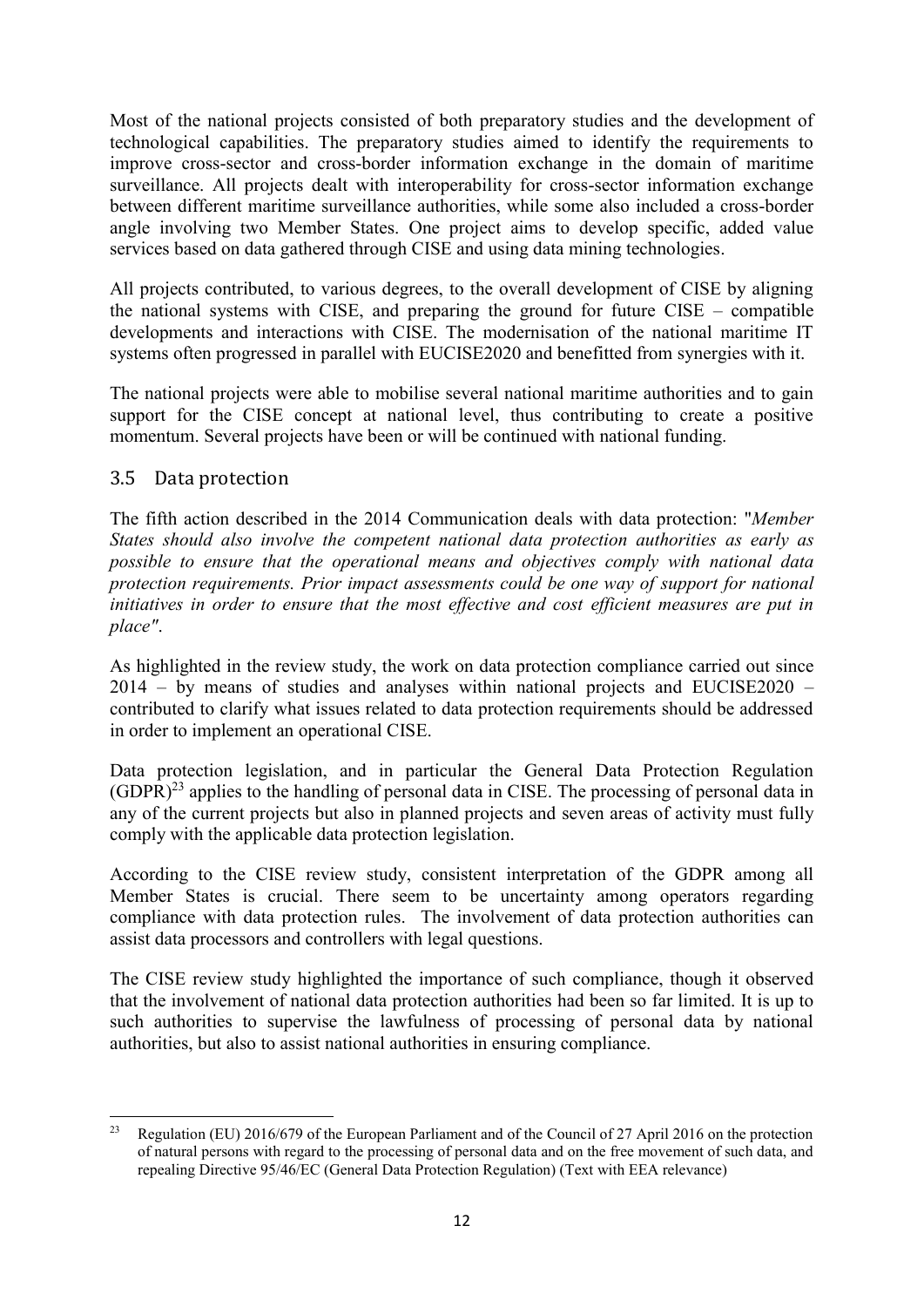Most of the national projects consisted of both preparatory studies and the development of technological capabilities. The preparatory studies aimed to identify the requirements to improve cross-sector and cross-border information exchange in the domain of maritime surveillance. All projects dealt with interoperability for cross-sector information exchange between different maritime surveillance authorities, while some also included a cross-border angle involving two Member States. One project aims to develop specific, added value services based on data gathered through CISE and using data mining technologies.

All projects contributed, to various degrees, to the overall development of CISE by aligning the national systems with CISE, and preparing the ground for future CISE – compatible developments and interactions with CISE. The modernisation of the national maritime IT systems often progressed in parallel with EUCISE2020 and benefitted from synergies with it.

The national projects were able to mobilise several national maritime authorities and to gain support for the CISE concept at national level, thus contributing to create a positive momentum. Several projects have been or will be continued with national funding.

## <span id="page-13-0"></span>3.5 Data protection

The fifth action described in the 2014 Communication deals with data protection: "*Member States should also involve the competent national data protection authorities as early as possible to ensure that the operational means and objectives comply with national data protection requirements. Prior impact assessments could be one way of support for national initiatives in order to ensure that the most effective and cost efficient measures are put in place"*.

As highlighted in the review study, the work on data protection compliance carried out since 2014 – by means of studies and analyses within national projects and EUCISE2020 – contributed to clarify what issues related to data protection requirements should be addressed in order to implement an operational CISE.

Data protection legislation, and in particular the General Data Protection Regulation  $(GDPR)^{23}$  applies to the handling of personal data in CISE. The processing of personal data in any of the current projects but also in planned projects and seven areas of activity must fully comply with the applicable data protection legislation.

According to the CISE review study, consistent interpretation of the GDPR among all Member States is crucial. There seem to be uncertainty among operators regarding compliance with data protection rules. The involvement of data protection authorities can assist data processors and controllers with legal questions.

The CISE review study highlighted the importance of such compliance, though it observed that the involvement of national data protection authorities had been so far limited. It is up to such authorities to supervise the lawfulness of processing of personal data by national authorities, but also to assist national authorities in ensuring compliance.

 $23$ <sup>23</sup> Regulation (EU) 2016/679 of the European Parliament and of the Council of 27 April 2016 on the protection of natural persons with regard to the processing of personal data and on the free movement of such data, and repealing Directive 95/46/EC (General Data Protection Regulation) (Text with EEA relevance)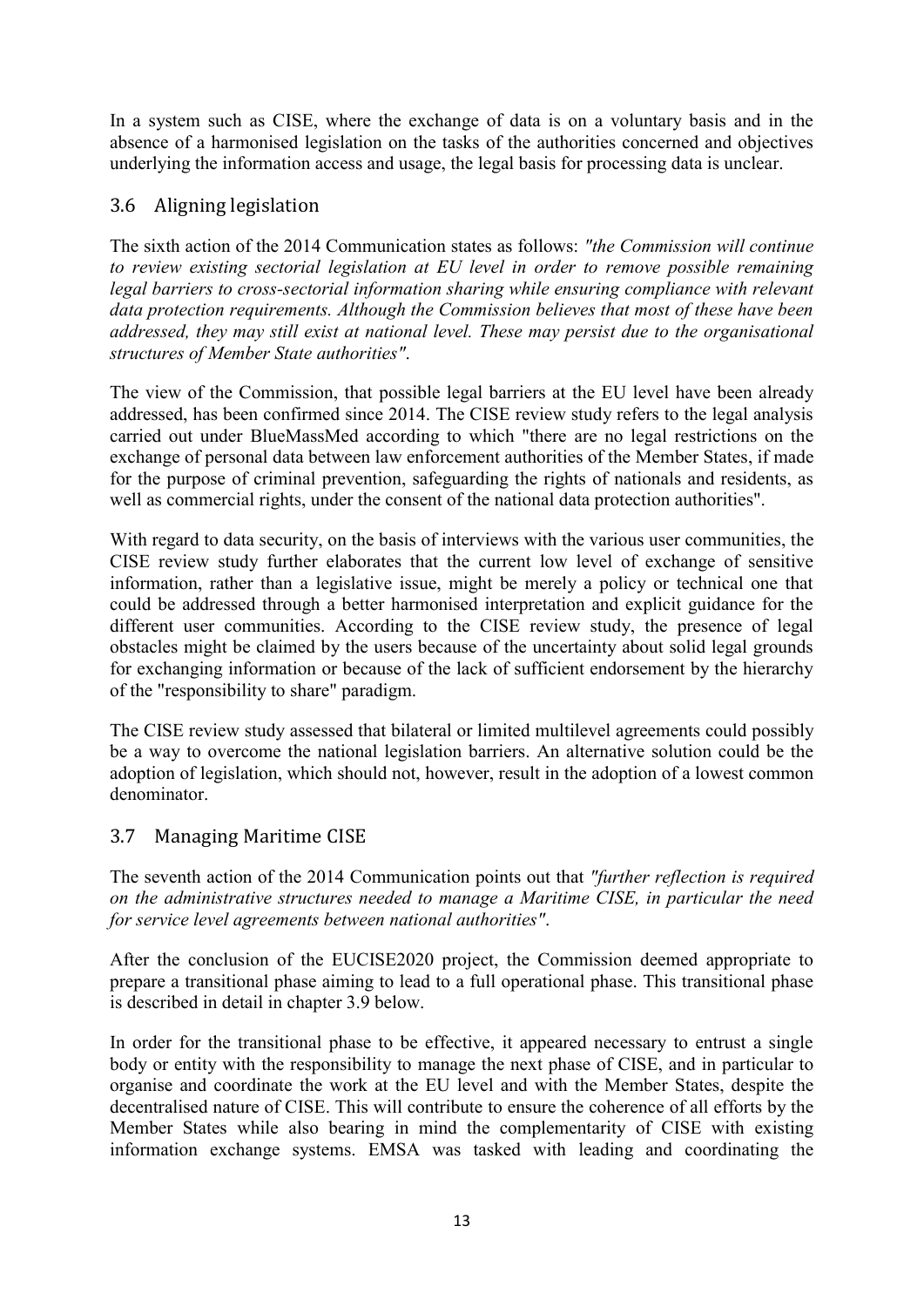In a system such as CISE, where the exchange of data is on a voluntary basis and in the absence of a harmonised legislation on the tasks of the authorities concerned and objectives underlying the information access and usage, the legal basis for processing data is unclear.

## <span id="page-14-0"></span>3.6 Aligning legislation

The sixth action of the 2014 Communication states as follows: *"the Commission will continue to review existing sectorial legislation at EU level in order to remove possible remaining*  legal barriers to cross-sectorial information sharing while ensuring compliance with relevant *data protection requirements. Although the Commission believes that most of these have been addressed, they may still exist at national level. These may persist due to the organisational structures of Member State authorities"*.

The view of the Commission, that possible legal barriers at the EU level have been already addressed, has been confirmed since 2014. The CISE review study refers to the legal analysis carried out under BlueMassMed according to which "there are no legal restrictions on the exchange of personal data between law enforcement authorities of the Member States, if made for the purpose of criminal prevention, safeguarding the rights of nationals and residents, as well as commercial rights, under the consent of the national data protection authorities".

With regard to data security, on the basis of interviews with the various user communities, the CISE review study further elaborates that the current low level of exchange of sensitive information, rather than a legislative issue, might be merely a policy or technical one that could be addressed through a better harmonised interpretation and explicit guidance for the different user communities. According to the CISE review study, the presence of legal obstacles might be claimed by the users because of the uncertainty about solid legal grounds for exchanging information or because of the lack of sufficient endorsement by the hierarchy of the "responsibility to share" paradigm.

The CISE review study assessed that bilateral or limited multilevel agreements could possibly be a way to overcome the national legislation barriers. An alternative solution could be the adoption of legislation, which should not, however, result in the adoption of a lowest common denominator.

## <span id="page-14-1"></span>3.7 Managing Maritime CISE

The seventh action of the 2014 Communication points out that *"further reflection is required on the administrative structures needed to manage a Maritime CISE, in particular the need for service level agreements between national authorities"*.

After the conclusion of the EUCISE2020 project, the Commission deemed appropriate to prepare a transitional phase aiming to lead to a full operational phase. This transitional phase is described in detail in chapter 3.9 below.

In order for the transitional phase to be effective, it appeared necessary to entrust a single body or entity with the responsibility to manage the next phase of CISE, and in particular to organise and coordinate the work at the EU level and with the Member States, despite the decentralised nature of CISE. This will contribute to ensure the coherence of all efforts by the Member States while also bearing in mind the complementarity of CISE with existing information exchange systems. EMSA was tasked with leading and coordinating the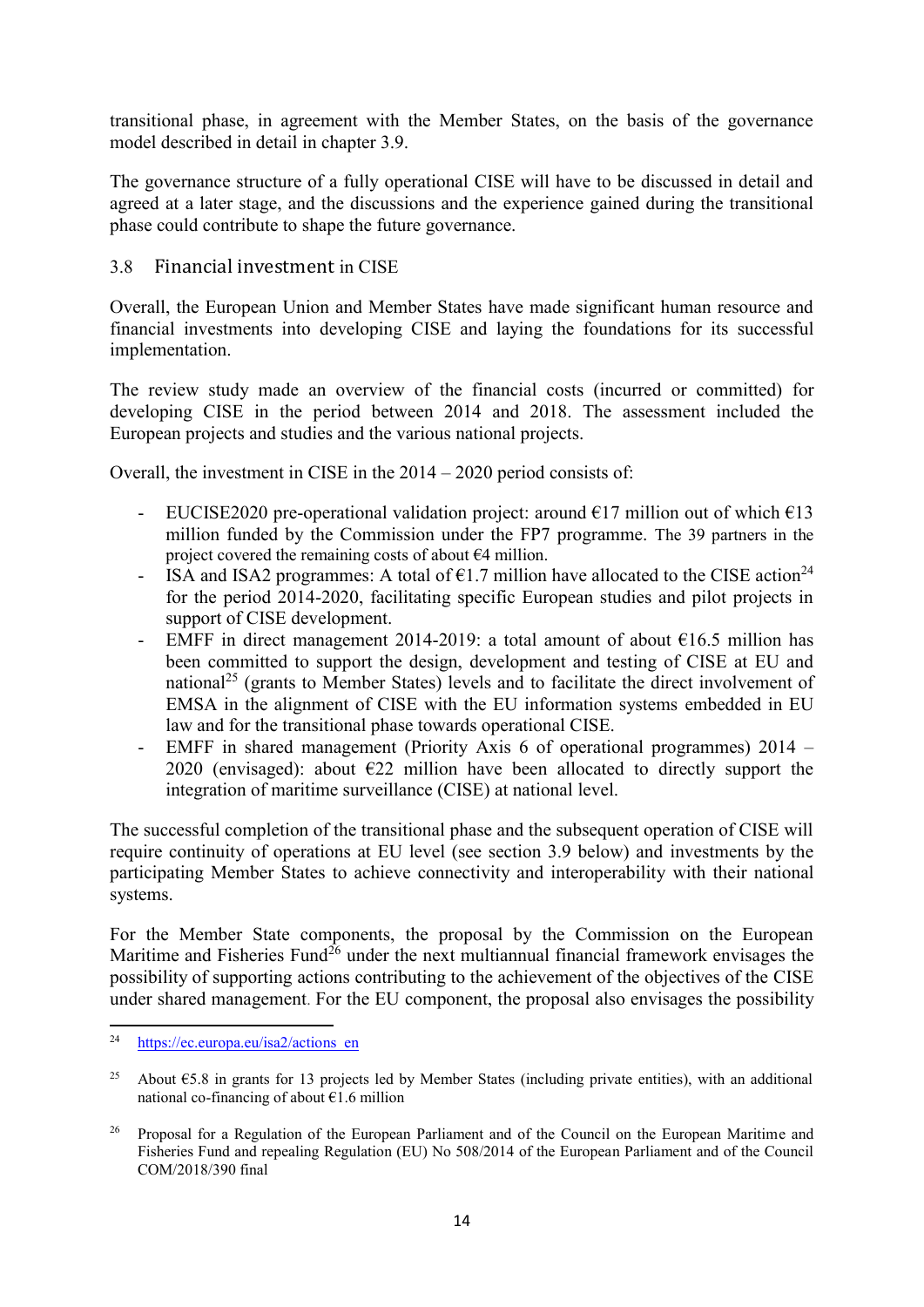transitional phase, in agreement with the Member States, on the basis of the governance model described in detail in chapter 3.9.

The governance structure of a fully operational CISE will have to be discussed in detail and agreed at a later stage, and the discussions and the experience gained during the transitional phase could contribute to shape the future governance.

#### <span id="page-15-0"></span>3.8 Financial investment in CISE

Overall, the European Union and Member States have made significant human resource and financial investments into developing CISE and laying the foundations for its successful implementation.

The review study made an overview of the financial costs (incurred or committed) for developing CISE in the period between 2014 and 2018. The assessment included the European projects and studies and the various national projects.

Overall, the investment in CISE in the 2014 – 2020 period consists of:

- EUCISE2020 pre-operational validation project: around  $E17$  million out of which  $E13$ million funded by the Commission under the FP7 programme. The 39 partners in the project covered the remaining costs of about €4 million.
- ISA and ISA2 programmes: A total of  $\epsilon$ 1.7 million have allocated to the CISE action<sup>24</sup> for the period 2014-2020, facilitating specific European studies and pilot projects in support of CISE development.
- EMFF in direct management 2014-2019: a total amount of about  $\epsilon$ 16.5 million has been committed to support the design, development and testing of CISE at EU and national<sup>25</sup> (grants to Member States) levels and to facilitate the direct involvement of EMSA in the alignment of CISE with the EU information systems embedded in EU law and for the transitional phase towards operational CISE.
- EMFF in shared management (Priority Axis 6 of operational programmes) 2014 2020 (envisaged): about  $E22$  million have been allocated to directly support the integration of maritime surveillance (CISE) at national level.

The successful completion of the transitional phase and the subsequent operation of CISE will require continuity of operations at EU level (see section 3.9 below) and investments by the participating Member States to achieve connectivity and interoperability with their national systems.

For the Member State components, the proposal by the Commission on the European Maritime and Fisheries Fund<sup>26</sup> under the next multiannual financial framework envisages the possibility of supporting actions contributing to the achievement of the objectives of the CISE under shared management. For the EU component, the proposal also envisages the possibility

 $\overline{a}$ <sup>24</sup> [https://ec.europa.eu/isa2/actions\\_en](https://ec.europa.eu/isa2/actions_en)

<sup>&</sup>lt;sup>25</sup> About  $\epsilon$ 5.8 in grants for 13 projects led by Member States (including private entities), with an additional national co-financing of about  $\epsilon$ 1.6 million

<sup>&</sup>lt;sup>26</sup> Proposal for a Regulation of the European Parliament and of the Council on the European Maritime and Fisheries Fund and repealing Regulation (EU) No 508/2014 of the European Parliament and of the Council COM/2018/390 final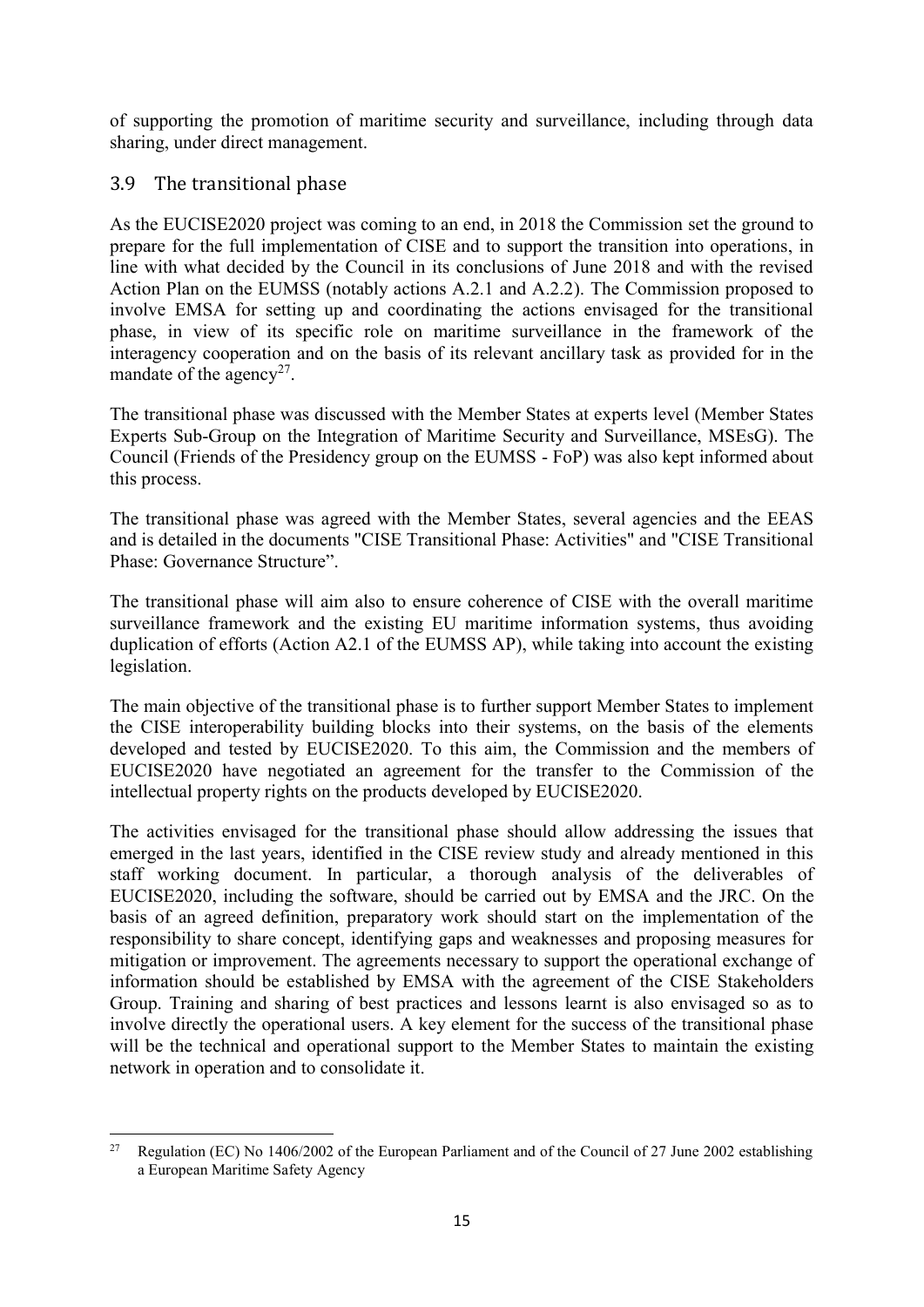of supporting the promotion of maritime security and surveillance, including through data sharing, under direct management.

#### <span id="page-16-0"></span>3.9 The transitional phase

As the EUCISE2020 project was coming to an end, in 2018 the Commission set the ground to prepare for the full implementation of CISE and to support the transition into operations, in line with what decided by the Council in its conclusions of June 2018 and with the revised Action Plan on the EUMSS (notably actions A.2.1 and A.2.2). The Commission proposed to involve EMSA for setting up and coordinating the actions envisaged for the transitional phase, in view of its specific role on maritime surveillance in the framework of the interagency cooperation and on the basis of its relevant ancillary task as provided for in the mandate of the agency<sup>27</sup>.

The transitional phase was discussed with the Member States at experts level (Member States Experts Sub-Group on the Integration of Maritime Security and Surveillance, MSEsG). The Council (Friends of the Presidency group on the EUMSS - FoP) was also kept informed about this process.

The transitional phase was agreed with the Member States, several agencies and the EEAS and is detailed in the documents "CISE Transitional Phase: Activities" and "CISE Transitional Phase: Governance Structure".

The transitional phase will aim also to ensure coherence of CISE with the overall maritime surveillance framework and the existing EU maritime information systems, thus avoiding duplication of efforts (Action A2.1 of the EUMSS AP), while taking into account the existing legislation.

The main objective of the transitional phase is to further support Member States to implement the CISE interoperability building blocks into their systems, on the basis of the elements developed and tested by EUCISE2020. To this aim, the Commission and the members of EUCISE2020 have negotiated an agreement for the transfer to the Commission of the intellectual property rights on the products developed by EUCISE2020.

The activities envisaged for the transitional phase should allow addressing the issues that emerged in the last years, identified in the CISE review study and already mentioned in this staff working document. In particular, a thorough analysis of the deliverables of EUCISE2020, including the software, should be carried out by EMSA and the JRC. On the basis of an agreed definition, preparatory work should start on the implementation of the responsibility to share concept, identifying gaps and weaknesses and proposing measures for mitigation or improvement. The agreements necessary to support the operational exchange of information should be established by EMSA with the agreement of the CISE Stakeholders Group. Training and sharing of best practices and lessons learnt is also envisaged so as to involve directly the operational users. A key element for the success of the transitional phase will be the technical and operational support to the Member States to maintain the existing network in operation and to consolidate it.

 $27$ <sup>27</sup> Regulation (EC) No 1406/2002 of the European Parliament and of the Council of 27 June 2002 establishing a European Maritime Safety Agency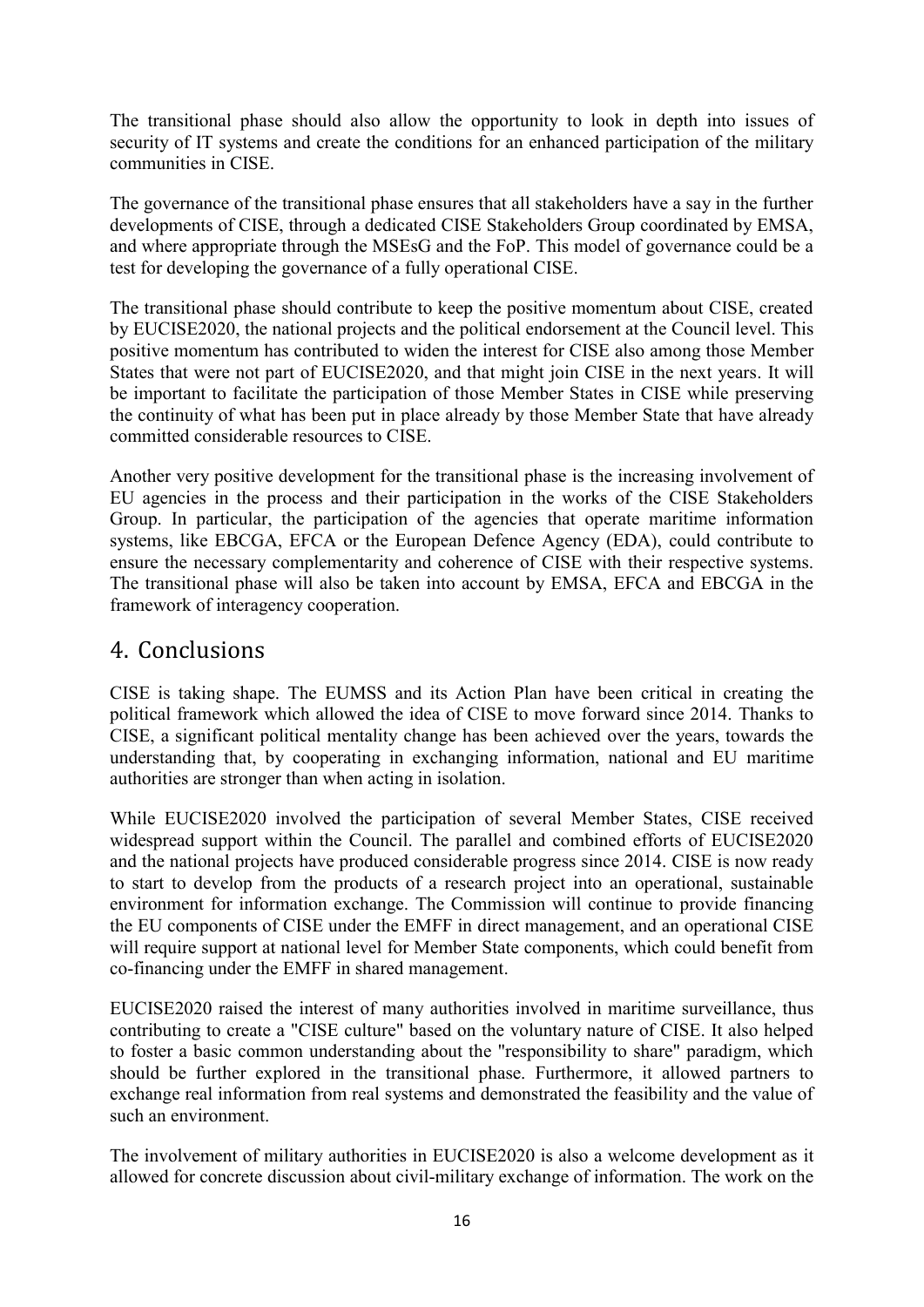The transitional phase should also allow the opportunity to look in depth into issues of security of IT systems and create the conditions for an enhanced participation of the military communities in CISE.

The governance of the transitional phase ensures that all stakeholders have a say in the further developments of CISE, through a dedicated CISE Stakeholders Group coordinated by EMSA, and where appropriate through the MSEsG and the FoP. This model of governance could be a test for developing the governance of a fully operational CISE.

The transitional phase should contribute to keep the positive momentum about CISE, created by EUCISE2020, the national projects and the political endorsement at the Council level. This positive momentum has contributed to widen the interest for CISE also among those Member States that were not part of EUCISE2020, and that might join CISE in the next years. It will be important to facilitate the participation of those Member States in CISE while preserving the continuity of what has been put in place already by those Member State that have already committed considerable resources to CISE.

Another very positive development for the transitional phase is the increasing involvement of EU agencies in the process and their participation in the works of the CISE Stakeholders Group. In particular, the participation of the agencies that operate maritime information systems, like EBCGA, EFCA or the European Defence Agency (EDA), could contribute to ensure the necessary complementarity and coherence of CISE with their respective systems. The transitional phase will also be taken into account by EMSA, EFCA and EBCGA in the framework of interagency cooperation.

# <span id="page-17-0"></span>4. Conclusions

CISE is taking shape. The EUMSS and its Action Plan have been critical in creating the political framework which allowed the idea of CISE to move forward since 2014. Thanks to CISE, a significant political mentality change has been achieved over the years, towards the understanding that, by cooperating in exchanging information, national and EU maritime authorities are stronger than when acting in isolation.

While EUCISE2020 involved the participation of several Member States, CISE received widespread support within the Council. The parallel and combined efforts of EUCISE2020 and the national projects have produced considerable progress since 2014. CISE is now ready to start to develop from the products of a research project into an operational, sustainable environment for information exchange. The Commission will continue to provide financing the EU components of CISE under the EMFF in direct management, and an operational CISE will require support at national level for Member State components, which could benefit from co-financing under the EMFF in shared management.

EUCISE2020 raised the interest of many authorities involved in maritime surveillance, thus contributing to create a "CISE culture" based on the voluntary nature of CISE. It also helped to foster a basic common understanding about the "responsibility to share" paradigm, which should be further explored in the transitional phase. Furthermore, it allowed partners to exchange real information from real systems and demonstrated the feasibility and the value of such an environment.

The involvement of military authorities in EUCISE2020 is also a welcome development as it allowed for concrete discussion about civil-military exchange of information. The work on the